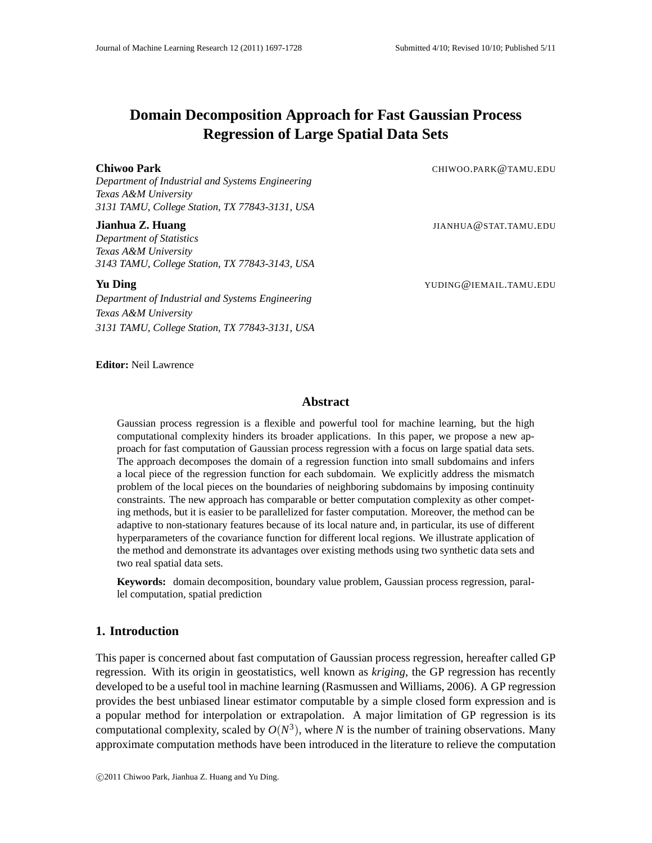# **Domain Decomposition Approach for Fast Gaussian Process Regression of Large Spatial Data Sets**

*Department of Industrial and Systems Engineering Texas A&M University 3131 TAMU, College Station, TX 77843-3131, USA*

*Department of Statistics Texas A&M University 3143 TAMU, College Station, TX 77843-3143, USA*

*Department of Industrial and Systems Engineering Texas A&M University 3131 TAMU, College Station, TX 77843-3131, USA*

**Chiwoo Park** CHIWOO.PARK @TAMU.EDU

**Jianhua Z. Huang** JIANHUA@STAT.TAMU.EDU

**Yu Ding** YUDING@IEMAIL.TAMU.EDU

#### **Editor:** Neil Lawrence

#### **Abstract**

Gaussian process regression is a flexible and powerful tool for machine learning, but the high computational complexity hinders its broader applications. In this paper, we propose a new approach for fast computation of Gaussian process regression with a focus on large spatial data sets. The approach decomposes the domain of a regression function into small subdomains and infers a local piece of the regression function for each subdomain. We explicitly address the mismatch problem of the local pieces on the boundaries of neighboring subdomains by imposing continuity constraints. The new approach has comparable or better computation complexity as other competing methods, but it is easier to be parallelized for faster computation. Moreover, the method can be adaptive to non-stationary features because of its local nature and, in particular, its use of different hyperparameters of the covariance function for different local regions. We illustrate application of the method and demonstrate its advantages over existing methods using two synthetic data sets and two real spatial data sets.

**Keywords:** domain decomposition, boundary value problem, Gaussian process regression, parallel computation, spatial prediction

## **1. Introduction**

This paper is concerned about fast computation of Gaussian process regression, hereafter called GP regression. With its origin in geostatistics, well known as *kriging*, the GP regression has recently developed to be a useful tool in machine learning (Rasmussen and Williams, 2006). A GP regression provides the best unbiased linear estimator computable by a simple closed form expression and is a popular method for interpolation or extrapolation. A major limitation of GP regression is its computational complexity, scaled by  $O(N^3)$ , where *N* is the number of training observations. Many approximate computation methods have been introduced in the literature to relieve the computation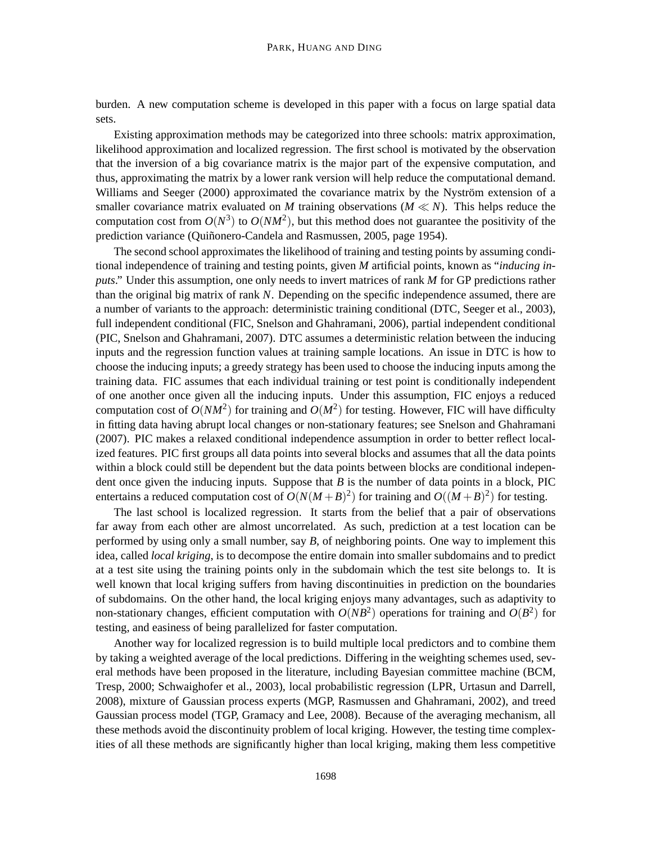burden. A new computation scheme is developed in this paper with a focus on large spatial data sets.

Existing approximation methods may be categorized into three schools: matrix approximation, likelihood approximation and localized regression. The first school is motivated by the observation that the inversion of a big covariance matrix is the major part of the expensive computation, and thus, approximating the matrix by a lower rank version will help reduce the computational demand. Williams and Seeger (2000) approximated the covariance matrix by the Nyström extension of a smaller covariance matrix evaluated on *M* training observations ( $M \ll N$ ). This helps reduce the computation cost from  $O(N^3)$  to  $O(NM^2)$ , but this method does not guarantee the positivity of the prediction variance (Quiñonero-Candela and Rasmussen, 2005, page 1954).

The second school approximates the likelihood of training and testing points by assuming conditional independence of training and testing points, given *M* artificial points, known as "*inducing inputs*." Under this assumption, one only needs to invert matrices of rank *M* for GP predictions rather than the original big matrix of rank *N*. Depending on the specific independence assumed, there are a number of variants to the approach: deterministic training conditional (DTC, Seeger et al., 2003), full independent conditional (FIC, Snelson and Ghahramani, 2006), partial independent conditional (PIC, Snelson and Ghahramani, 2007). DTC assumes a deterministic relation between the inducing inputs and the regression function values at training sample locations. An issue in DTC is how to choose the inducing inputs; a greedy strategy has been used to choose the inducing inputs among the training data. FIC assumes that each individual training or test point is conditionally independent of one another once given all the inducing inputs. Under this assumption, FIC enjoys a reduced computation cost of  $O(NM^2)$  for training and  $O(M^2)$  for testing. However, FIC will have difficulty in fitting data having abrupt local changes or non-stationary features; see Snelson and Ghahramani (2007). PIC makes a relaxed conditional independence assumption in order to better reflect localized features. PIC first groups all data points into several blocks and assumes that all the data points within a block could still be dependent but the data points between blocks are conditional independent once given the inducing inputs. Suppose that *B* is the number of data points in a block, PIC entertains a reduced computation cost of  $O(N(M+B)^2)$  for training and  $O((M+B)^2)$  for testing.

The last school is localized regression. It starts from the belief that a pair of observations far away from each other are almost uncorrelated. As such, prediction at a test location can be performed by using only a small number, say *B*, of neighboring points. One way to implement this idea, called *local kriging*, is to decompose the entire domain into smaller subdomains and to predict at a test site using the training points only in the subdomain which the test site belongs to. It is well known that local kriging suffers from having discontinuities in prediction on the boundaries of subdomains. On the other hand, the local kriging enjoys many advantages, such as adaptivity to non-stationary changes, efficient computation with  $O(NB^2)$  operations for training and  $O(B^2)$  for testing, and easiness of being parallelized for faster computation.

Another way for localized regression is to build multiple local predictors and to combine them by taking a weighted average of the local predictions. Differing in the weighting schemes used, several methods have been proposed in the literature, including Bayesian committee machine (BCM, Tresp, 2000; Schwaighofer et al., 2003), local probabilistic regression (LPR, Urtasun and Darrell, 2008), mixture of Gaussian process experts (MGP, Rasmussen and Ghahramani, 2002), and treed Gaussian process model (TGP, Gramacy and Lee, 2008). Because of the averaging mechanism, all these methods avoid the discontinuity problem of local kriging. However, the testing time complexities of all these methods are significantly higher than local kriging, making them less competitive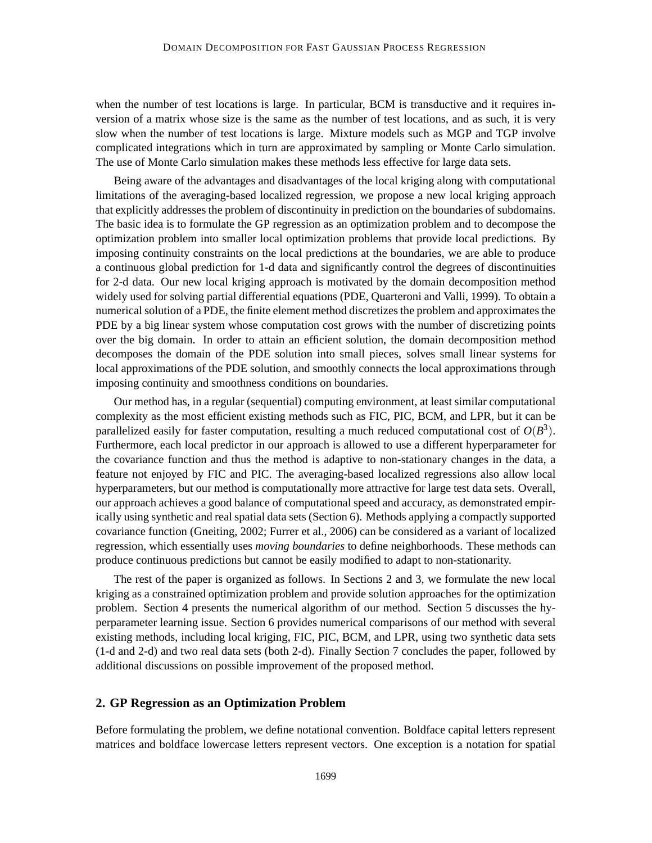when the number of test locations is large. In particular, BCM is transductive and it requires inversion of a matrix whose size is the same as the number of test locations, and as such, it is very slow when the number of test locations is large. Mixture models such as MGP and TGP involve complicated integrations which in turn are approximated by sampling or Monte Carlo simulation. The use of Monte Carlo simulation makes these methods less effective for large data sets.

Being aware of the advantages and disadvantages of the local kriging along with computational limitations of the averaging-based localized regression, we propose a new local kriging approach that explicitly addresses the problem of discontinuity in prediction on the boundaries of subdomains. The basic idea is to formulate the GP regression as an optimization problem and to decompose the optimization problem into smaller local optimization problems that provide local predictions. By imposing continuity constraints on the local predictions at the boundaries, we are able to produce a continuous global prediction for 1-d data and significantly control the degrees of discontinuities for 2-d data. Our new local kriging approach is motivated by the domain decomposition method widely used for solving partial differential equations (PDE, Quarteroni and Valli, 1999). To obtain a numerical solution of a PDE, the finite element method discretizes the problem and approximates the PDE by a big linear system whose computation cost grows with the number of discretizing points over the big domain. In order to attain an efficient solution, the domain decomposition method decomposes the domain of the PDE solution into small pieces, solves small linear systems for local approximations of the PDE solution, and smoothly connects the local approximations through imposing continuity and smoothness conditions on boundaries.

Our method has, in a regular (sequential) computing environment, at least similar computational complexity as the most efficient existing methods such as FIC, PIC, BCM, and LPR, but it can be parallelized easily for faster computation, resulting a much reduced computational cost of  $O(B^3)$ . Furthermore, each local predictor in our approach is allowed to use a different hyperparameter for the covariance function and thus the method is adaptive to non-stationary changes in the data, a feature not enjoyed by FIC and PIC. The averaging-based localized regressions also allow local hyperparameters, but our method is computationally more attractive for large test data sets. Overall, our approach achieves a good balance of computational speed and accuracy, as demonstrated empirically using synthetic and real spatial data sets (Section 6). Methods applying a compactly supported covariance function (Gneiting, 2002; Furrer et al., 2006) can be considered as a variant of localized regression, which essentially uses *moving boundaries* to define neighborhoods. These methods can produce continuous predictions but cannot be easily modified to adapt to non-stationarity.

The rest of the paper is organized as follows. In Sections 2 and 3, we formulate the new local kriging as a constrained optimization problem and provide solution approaches for the optimization problem. Section 4 presents the numerical algorithm of our method. Section 5 discusses the hyperparameter learning issue. Section 6 provides numerical comparisons of our method with several existing methods, including local kriging, FIC, PIC, BCM, and LPR, using two synthetic data sets (1-d and 2-d) and two real data sets (both 2-d). Finally Section 7 concludes the paper, followed by additional discussions on possible improvement of the proposed method.

## **2. GP Regression as an Optimization Problem**

Before formulating the problem, we define notational convention. Boldface capital letters represent matrices and boldface lowercase letters represent vectors. One exception is a notation for spatial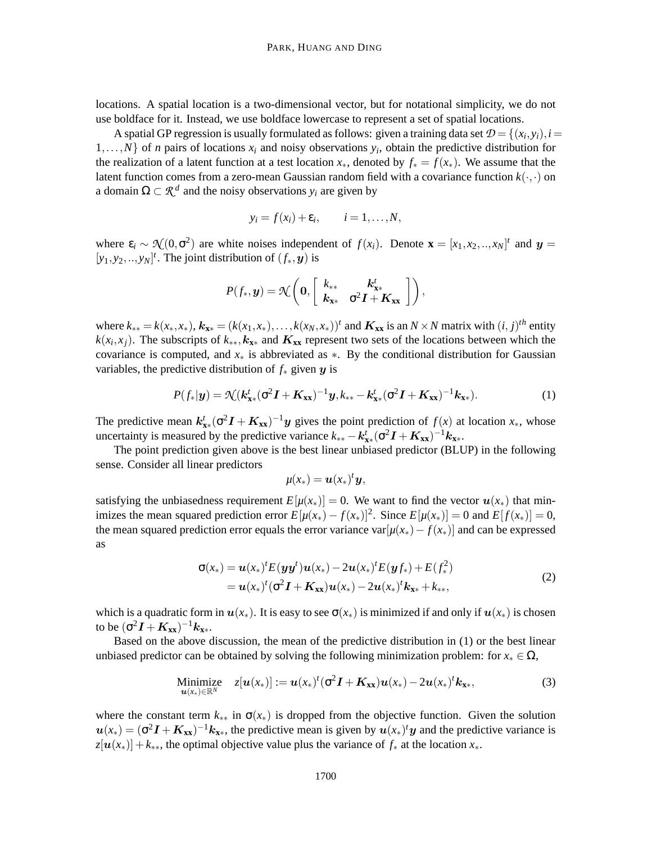locations. A spatial location is a two-dimensional vector, but for notational simplicity, we do not use boldface for it. Instead, we use boldface lowercase to represent a set of spatial locations.

A spatial GP regression is usually formulated as follows: given a training data set  $\mathcal{D} = \{(x_i, y_i), i =$  $1, \ldots, N$  of *n* pairs of locations  $x_i$  and noisy observations  $y_i$ , obtain the predictive distribution for the realization of a latent function at a test location  $x_*$ , denoted by  $f_* = f(x_*)$ . We assume that the latent function comes from a zero-mean Gaussian random field with a covariance function  $k(\cdot, \cdot)$  on a domain  $\Omega \subset \mathcal{R}^d$  and the noisy observations  $y_i$  are given by

$$
y_i = f(x_i) + \varepsilon_i, \qquad i = 1, \ldots, N,
$$

where  $\varepsilon_i \sim \mathcal{N}(0, \sigma^2)$  are white noises independent of  $f(x_i)$ . Denote  $\mathbf{x} = [x_1, x_2, ..., x_N]^t$  and  $\mathbf{y} =$  $[y_1, y_2, \ldots, y_N]^t$ . The joint distribution of  $(f_*, \mathbf{y})$  is

$$
P(f_*, y) = \mathcal{N}\left(\mathbf{0}, \left[\begin{array}{cc} k_{**} & \mathbf{k}_{\mathbf{x}*}^t \\ \mathbf{k}_{\mathbf{x}*} & \sigma^2 \mathbf{I} + \mathbf{K}_{\mathbf{x}\mathbf{x}} \end{array}\right]\right),
$$

where  $k_{**} = k(x_*, x_*)$ ,  $k_{\mathbf{x}*} = (k(x_1, x_*), \dots, k(x_N, x_*))^t$  and  $K_{\mathbf{x}\mathbf{x}}$  is an  $N \times N$  matrix with  $(i, j)^{th}$  entity  $k(x_i, x_j)$ . The subscripts of  $k_{**}$ ,  $k_{xx}$  and  $K_{xx}$  represent two sets of the locations between which the covariance is computed, and *x*<sup>∗</sup> is abbreviated as ∗. By the conditional distribution for Gaussian variables, the predictive distribution of *f*<sup>∗</sup> given y is

$$
P(f_*|y) = \mathcal{N}(k_{\mathbf{x}^*}^t(\sigma^2 \mathbf{I} + \mathbf{K}_{\mathbf{x}\mathbf{x}})^{-1}y, k_{**} - k_{\mathbf{x}^*}^t(\sigma^2 \mathbf{I} + \mathbf{K}_{\mathbf{x}\mathbf{x}})^{-1}k_{\mathbf{x}^*}).
$$
 (1)

The predictive mean  $k_{\mathbf{x}*}^t$  ( $\sigma^2 \mathbf{I} + \mathbf{K}_{\mathbf{x}\mathbf{x}}$ )<sup>-1</sup>y gives the point prediction of  $f(x)$  at location  $x_*,$  whose uncertainty is measured by the predictive variance  $k_{**} - k_{\mathbf{x}*}^t (\sigma^2 \mathbf{I} + \mathbf{K}_{\mathbf{x}\mathbf{x}})^{-1} \mathbf{k}_{\mathbf{x}*}$ .

The point prediction given above is the best linear unbiased predictor (BLUP) in the following sense. Consider all linear predictors

$$
\mu(x_*) = \boldsymbol{u}(x_*)^t \boldsymbol{y},
$$

satisfying the unbiasedness requirement  $E[\mu(x_*)] = 0$ . We want to find the vector  $u(x_*)$  that minimizes the mean squared prediction error  $E[\mu(x_*) - f(x_*)]^2$ . Since  $E[\mu(x_*)] = 0$  and  $E[f(x_*)] = 0$ , the mean squared prediction error equals the error variance var $[\mu(x_*) - f(x_*)]$  and can be expressed as

$$
\sigma(x_*) = \mathbf{u}(x_*)^t E(\mathbf{y}\mathbf{y}^t)\mathbf{u}(x_*) - 2\mathbf{u}(x_*)^t E(\mathbf{y}f_*) + E(f_*^2) \n= \mathbf{u}(x_*)^t (\sigma^2 \mathbf{I} + \mathbf{K_{xx}}) \mathbf{u}(x_*) - 2\mathbf{u}(x_*)^t \mathbf{k_{xx}} + k_{**},
$$
\n(2)

which is a quadratic form in  $u(x_*)$ . It is easy to see  $\sigma(x_*)$  is minimized if and only if  $u(x_*)$  is chosen to be  $({\sigma}^2{\bm I} + {\bm K}_{{\bf xx}})^{-1}{\bm k}_{{\bf xx}}.$ 

Based on the above discussion, the mean of the predictive distribution in (1) or the best linear unbiased predictor can be obtained by solving the following minimization problem: for  $x_* \in \Omega$ ,

Minimize 
$$
z[\boldsymbol{u}(x_*)] := \boldsymbol{u}(x_*)^t (\sigma^2 \boldsymbol{I} + \boldsymbol{K}_{xx}) \boldsymbol{u}(x_*) - 2 \boldsymbol{u}(x_*)^t \boldsymbol{k}_{xx},
$$
 (3)

where the constant term  $k_{**}$  in  $\sigma(x_*)$  is dropped from the objective function. Given the solution  $u(x_*) = (\sigma^2 I + K_{xx})^{-1} k_{xx}$ , the predictive mean is given by  $u(x_*)^t y$  and the predictive variance is  $z[u(x_*)] + k_{**}$ , the optimal objective value plus the variance of  $f_*$  at the location  $x_*$ .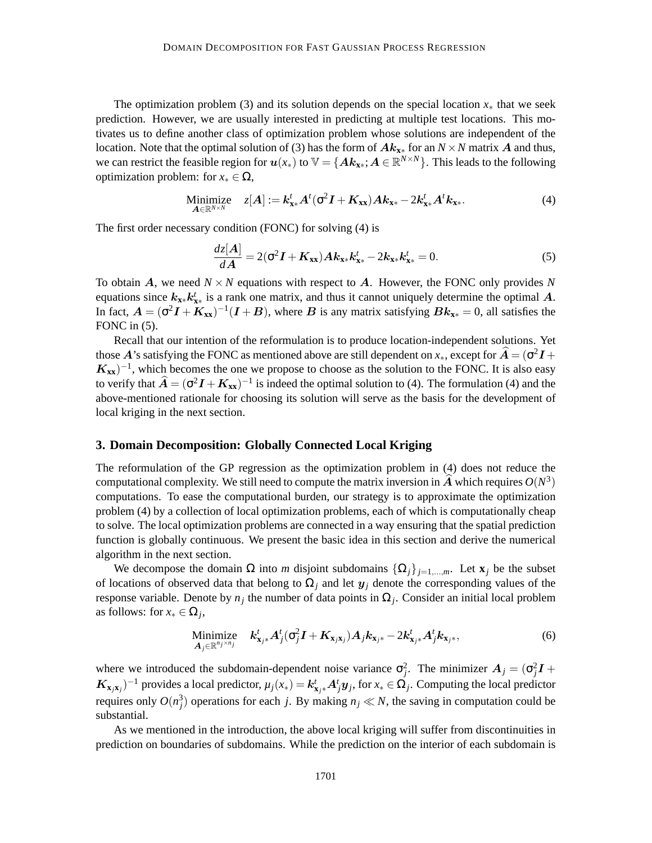The optimization problem (3) and its solution depends on the special location  $x<sub>∗</sub>$  that we seek prediction. However, we are usually interested in predicting at multiple test locations. This motivates us to define another class of optimization problem whose solutions are independent of the location. Note that the optimal solution of (3) has the form of Ak**x**<sup>∗</sup> for an *N* ×*N* matrix A and thus, we can restrict the feasible region for  $u(x_*)$  to  $\mathbb{V} = \{ A k_{x*}; A \in \mathbb{R}^{N \times N} \}$ . This leads to the following optimization problem: for  $x_* \in \Omega$ ,

Minimize 
$$
z[A] := \mathbf{k}_{\mathbf{x} *}^t A^t (\sigma^2 \mathbf{I} + \mathbf{K}_{\mathbf{x} k}) A \mathbf{k}_{\mathbf{x} *} - 2 \mathbf{k}_{\mathbf{x} *}^t A^t \mathbf{k}_{\mathbf{x} *}.
$$
 (4)

The first order necessary condition (FONC) for solving (4) is

$$
\frac{dz[A]}{dA} = 2(\sigma^2 I + K_{xx})Ak_{x*}k_{x*}^t - 2k_{x*}k_{x*}^t = 0.
$$
\n(5)

To obtain  $\vec{A}$ , we need  $N \times N$  equations with respect to  $\vec{A}$ . However, the FONC only provides N equations since  $k_{x*} k_{x*}^t$  is a rank one matrix, and thus it cannot uniquely determine the optimal A. In fact,  $A = (\sigma^2 I + K_{xx})^{-1} (I + B)$ , where B is any matrix satisfying  $Bk_{x*} = 0$ , all satisfies the FONC in  $(5)$ .

Recall that our intention of the reformulation is to produce location-independent solutions. Yet those  $A$ 's satisfying the FONC as mentioned above are still dependent on  $x_*$ , except for  $\widehat{A} = (\sigma^2 I +$  $K_{xx}$ )<sup>-1</sup>, which becomes the one we propose to choose as the solution to the FONC. It is also easy to verify that  $\hat{A} = (\sigma^2 I + K_{xx})^{-1}$  is indeed the optimal solution to (4). The formulation (4) and the above-mentioned rationale for choosing its solution will serve as the basis for the development of local kriging in the next section.

### **3. Domain Decomposition: Globally Connected Local Kriging**

The reformulation of the GP regression as the optimization problem in (4) does not reduce the computational complexity. We still need to compute the matrix inversion in  $\hat{A}$  which requires  $O(N^3)$ computations. To ease the computational burden, our strategy is to approximate the optimization problem (4) by a collection of local optimization problems, each of which is computationally cheap to solve. The local optimization problems are connected in a way ensuring that the spatial prediction function is globally continuous. We present the basic idea in this section and derive the numerical algorithm in the next section.

We decompose the domain  $\Omega$  into *m* disjoint subdomains  $\{\Omega_i\}_{i=1,\dots,m}$ . Let  $\mathbf{x}_i$  be the subset of locations of observed data that belong to  $\Omega_j$  and let  $y_j$  denote the corresponding values of the response variable. Denote by  $n_j$  the number of data points in  $\Omega_j$ . Consider an initial local problem as follows: for  $x_* \in \Omega_j$ ,

Minimize 
$$
k_{\mathbf{x}_j \ast}^t A_j^t (\sigma_j^2 \mathbf{I} + \mathbf{K}_{\mathbf{x}_j \mathbf{x}_j}) A_j k_{\mathbf{x}_{j*}} - 2k_{\mathbf{x}_{j*}}^t A_j^t k_{\mathbf{x}_{j*}},
$$
 (6)

where we introduced the subdomain-dependent noise variance  $\sigma_j^2$ . The minimizer  $A_j = (\sigma_j^2 I +$  $K_{\mathbf{x}_j\mathbf{x}_j}$ )<sup>-1</sup> provides a local predictor,  $\mu_j(x_*) = k_{\mathbf{x}_{j^*}}^t A_j^t y_j$ , for  $x_* \in \Omega_j$ . Computing the local predictor requires only  $O(n_j^3)$  operations for each *j*. By making  $n_j \ll N$ , the saving in computation could be substantial.

As we mentioned in the introduction, the above local kriging will suffer from discontinuities in prediction on boundaries of subdomains. While the prediction on the interior of each subdomain is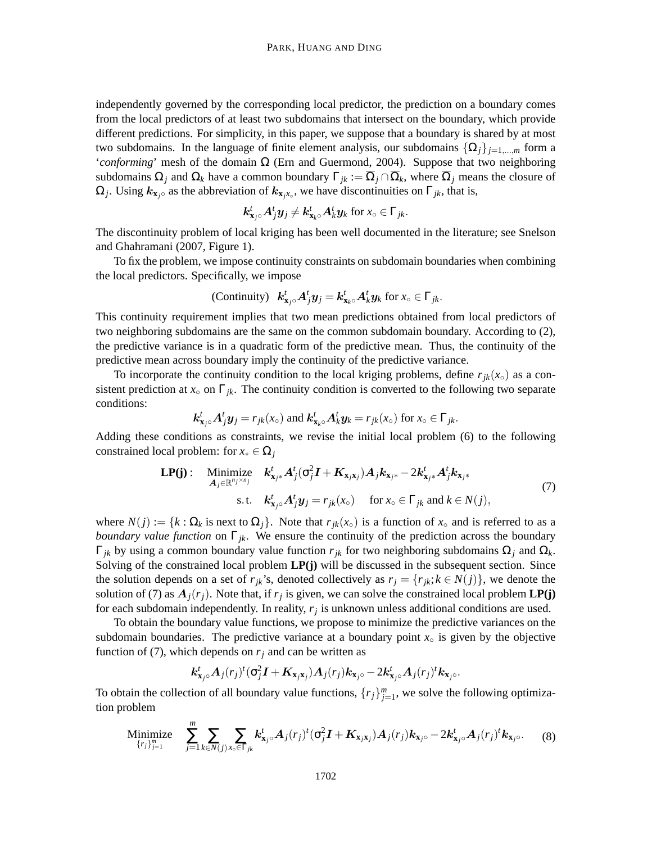independently governed by the corresponding local predictor, the prediction on a boundary comes from the local predictors of at least two subdomains that intersect on the boundary, which provide different predictions. For simplicity, in this paper, we suppose that a boundary is shared by at most two subdomains. In the language of finite element analysis, our subdomains  $\{\Omega_i\}_{i=1,\dots,m}$  form a '*conforming*' mesh of the domain Ω (Ern and Guermond, 2004). Suppose that two neighboring subdomains  $\Omega_i$  and  $\Omega_k$  have a common boundary  $\Gamma_{ik} := \overline{\Omega}_i \cap \overline{\Omega}_k$ , where  $\overline{\Omega}_i$  means the closure of  $\Omega_j$ . Using  $k_{\mathbf{x}_j \circ}$  as the abbreviation of  $k_{\mathbf{x}_j x \circ}$ , we have discontinuities on  $\Gamma_{jk}$ , that is,

$$
\boldsymbol{k}_{\mathbf{x}_j\circ}^t\boldsymbol{A}_j^t\boldsymbol{y}_j\neq \boldsymbol{k}_{\mathbf{x}_k\circ}^t\boldsymbol{A}_k^t\boldsymbol{y}_k \text{ for } x_\circ\in\Gamma_{jk}.
$$

The discontinuity problem of local kriging has been well documented in the literature; see Snelson and Ghahramani (2007, Figure 1).

To fix the problem, we impose continuity constraints on subdomain boundaries when combining the local predictors. Specifically, we impose

(Continuity) 
$$
k_{\mathbf{x}_j\circ}^t A_j^t \mathbf{y}_j = k_{\mathbf{x}_k\circ}^t A_k^t \mathbf{y}_k
$$
 for  $x_\circ \in \Gamma_{jk}$ .

This continuity requirement implies that two mean predictions obtained from local predictors of two neighboring subdomains are the same on the common subdomain boundary. According to (2), the predictive variance is in a quadratic form of the predictive mean. Thus, the continuity of the predictive mean across boundary imply the continuity of the predictive variance.

To incorporate the continuity condition to the local kriging problems, define  $r_{jk}(x_{\circ})$  as a consistent prediction at  $x<sub>○</sub>$  on  $\Gamma_{ik}$ . The continuity condition is converted to the following two separate conditions:

$$
k_{\mathbf{x}_j\circ}^t A_j^t \mathbf{y}_j = r_{jk}(x_\circ)
$$
 and  $k_{\mathbf{x}_k\circ}^t A_k^t \mathbf{y}_k = r_{jk}(x_\circ)$  for  $x_\circ \in \Gamma_{jk}$ .

Adding these conditions as constraints, we revise the initial local problem (6) to the following constrained local problem: for  $x_* \in \Omega_j$ 

$$
\text{LP(j)}: \quad \underset{\mathbf{A}_{j} \in \mathbb{R}^{n_{j} \times n_{j}}}{\text{Minimize}} \quad k_{\mathbf{x}_{j*}}' \mathbf{A}_{j}^{t}(\sigma_{j}^{2} \mathbf{I} + \mathbf{K}_{\mathbf{x}_{j}\mathbf{x}_{j}}) \mathbf{A}_{j} k_{\mathbf{x}_{j*}} - 2k_{\mathbf{x}_{j*}}' \mathbf{A}_{j}^{t} k_{\mathbf{x}_{j*}} \tag{7}
$$
\n
$$
\text{s.t.} \quad k_{\mathbf{x}_{j\circ}}' \mathbf{A}_{j}^{t} \mathbf{y}_{j} = r_{jk}(x_{\circ}) \quad \text{for } x_{\circ} \in \Gamma_{jk} \text{ and } k \in N(j),
$$

where  $N(j) := \{k : \Omega_k$  is next to  $\Omega_j\}$ . Note that  $r_{jk}(x_0)$  is a function of  $x_0$  and is referred to as a *boundary value function* on  $\Gamma_{jk}$ . We ensure the continuity of the prediction across the boundary Γ*jk* by using a common boundary value function *rjk* for two neighboring subdomains Ω*<sup>j</sup>* and Ω*k*. Solving of the constrained local problem **LP(j)** will be discussed in the subsequent section. Since the solution depends on a set of  $r_{ik}$ 's, denoted collectively as  $r_j = \{r_{ik}; k \in N(j)\}\,$ , we denote the solution of (7) as  $A_j(r_j)$ . Note that, if  $r_j$  is given, we can solve the constrained local problem **LP(j)** for each subdomain independently. In reality, *r<sup>j</sup>* is unknown unless additional conditions are used.

To obtain the boundary value functions, we propose to minimize the predictive variances on the subdomain boundaries. The predictive variance at a boundary point  $x<sub>°</sub>$  is given by the objective function of (7), which depends on  $r_i$  and can be written as

$$
\boldsymbol{k}_{\mathbf{x}_j\circ}^t\boldsymbol{A}_j(r_j)^t(\sigma_j^2\boldsymbol{I}+\boldsymbol{K}_{\mathbf{x}_j\mathbf{x}_j})\boldsymbol{A}_j(r_j)\boldsymbol{k}_{\mathbf{x}_j\circ}-2\boldsymbol{k}_{\mathbf{x}_j\circ}^t\boldsymbol{A}_j(r_j)^t\boldsymbol{k}_{\mathbf{x}_j\circ}.
$$

To obtain the collection of all boundary value functions,  $\{r_j\}_{j=1}^m$ , we solve the following optimization problem

Minimize 
$$
\sum_{\{r_j\}_{j=1}^m}^m \sum_{j=1}^m \sum_{k \in N(j)} \sum_{x_\circ \in \Gamma_{jk}} k_{\mathbf{x}_{j\circ}}^t A_j(r_j)^t (\sigma_j^2 \mathbf{I} + \mathbf{K}_{\mathbf{x}_{j\mathbf{x}_j}}) A_j(r_j) k_{\mathbf{x}_{j\circ}} - 2k_{\mathbf{x}_{j\circ}}^t A_j(r_j)^t k_{\mathbf{x}_{j\circ}}.
$$
 (8)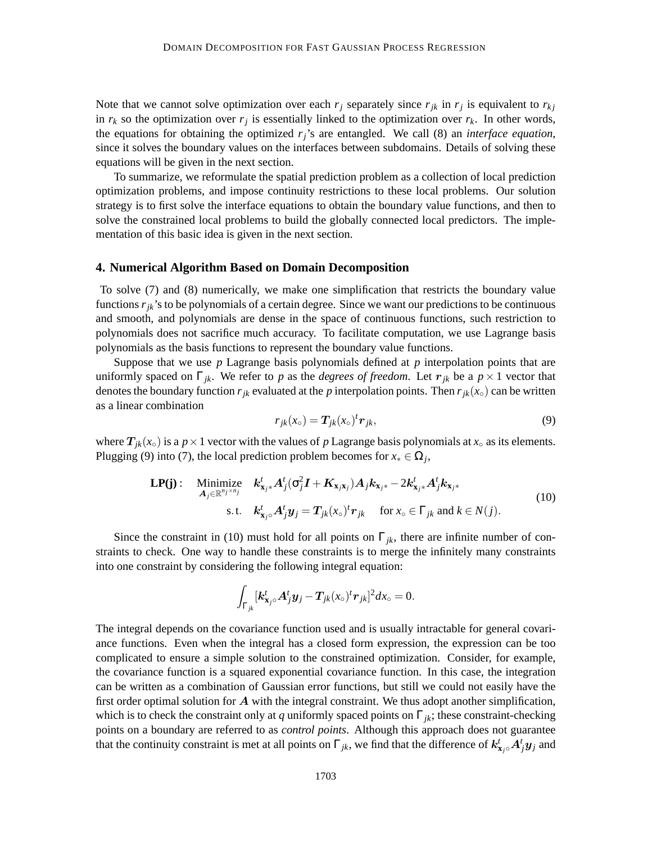Note that we cannot solve optimization over each  $r_j$  separately since  $r_{jk}$  in  $r_j$  is equivalent to  $r_{kj}$ in  $r_k$  so the optimization over  $r_j$  is essentially linked to the optimization over  $r_k$ . In other words, the equations for obtaining the optimized *rj*'s are entangled. We call (8) an *interface equation*, since it solves the boundary values on the interfaces between subdomains. Details of solving these equations will be given in the next section.

To summarize, we reformulate the spatial prediction problem as a collection of local prediction optimization problems, and impose continuity restrictions to these local problems. Our solution strategy is to first solve the interface equations to obtain the boundary value functions, and then to solve the constrained local problems to build the globally connected local predictors. The implementation of this basic idea is given in the next section.

#### **4. Numerical Algorithm Based on Domain Decomposition**

To solve (7) and (8) numerically, we make one simplification that restricts the boundary value functions  $r_{ik}$ 's to be polynomials of a certain degree. Since we want our predictions to be continuous and smooth, and polynomials are dense in the space of continuous functions, such restriction to polynomials does not sacrifice much accuracy. To facilitate computation, we use Lagrange basis polynomials as the basis functions to represent the boundary value functions.

Suppose that we use *p* Lagrange basis polynomials defined at *p* interpolation points that are uniformly spaced on  $\Gamma_{jk}$ . We refer to *p* as the *degrees of freedom*. Let  $r_{jk}$  be a  $p \times 1$  vector that denotes the boundary function  $r_{jk}$  evaluated at the *p* interpolation points. Then  $r_{jk}(x_0)$  can be written as a linear combination

$$
r_{jk}(x_{\circ}) = T_{jk}(x_{\circ})^t r_{jk},\tag{9}
$$

where  $T_{jk}(x_{\circ})$  is a  $p \times 1$  vector with the values of p Lagrange basis polynomials at  $x_{\circ}$  as its elements. Plugging (9) into (7), the local prediction problem becomes for  $x_* \in \Omega_j$ ,

$$
\mathbf{LP(j)}: \quad \underset{\mathbf{A}_{j} \in \mathbb{R}^{n_{j} \times n_{j}}}{\text{Minimize}} \quad k_{\mathbf{x}_{j*}}^{t} A_{j}^{t} (\sigma_{j}^{2} \mathbf{I} + \mathbf{K}_{\mathbf{x}_{j} \mathbf{x}_{j}}) A_{j} k_{\mathbf{x}_{j*}} - 2k_{\mathbf{x}_{j*}}^{t} A_{j}^{t} k_{\mathbf{x}_{j*}} \quad (10)
$$
\n
$$
\text{s.t.} \quad k_{\mathbf{x}_{j\circ}}^{t} A_{j}^{t} \mathbf{y}_{j} = T_{jk} (x_{\circ})^{t} r_{jk} \quad \text{for } x_{\circ} \in \Gamma_{jk} \text{ and } k \in N(j).
$$

Since the constraint in (10) must hold for all points on  $\Gamma_{jk}$ , there are infinite number of constraints to check. One way to handle these constraints is to merge the infinitely many constraints into one constraint by considering the following integral equation:

$$
\int_{\Gamma_{jk}}[\mathbf{k^t_{x_j\circ}}\mathbf{A}^t_j\mathbf{y}_j-\mathbf{T}_{jk}(x_\circ)^t\mathbf{r}_{jk}]^2dx_\circ=0.
$$

The integral depends on the covariance function used and is usually intractable for general covariance functions. Even when the integral has a closed form expression, the expression can be too complicated to ensure a simple solution to the constrained optimization. Consider, for example, the covariance function is a squared exponential covariance function. In this case, the integration can be written as a combination of Gaussian error functions, but still we could not easily have the first order optimal solution for  $A$  with the integral constraint. We thus adopt another simplification, which is to check the constraint only at *q* uniformly spaced points on  $\Gamma_{ik}$ ; these constraint-checking points on a boundary are referred to as *control points*. Although this approach does not guarantee that the continuity constraint is met at all points on  $\Gamma_{jk}$ , we find that the difference of  $k^t_{x_j}$ ° $A^t_j y_j$  and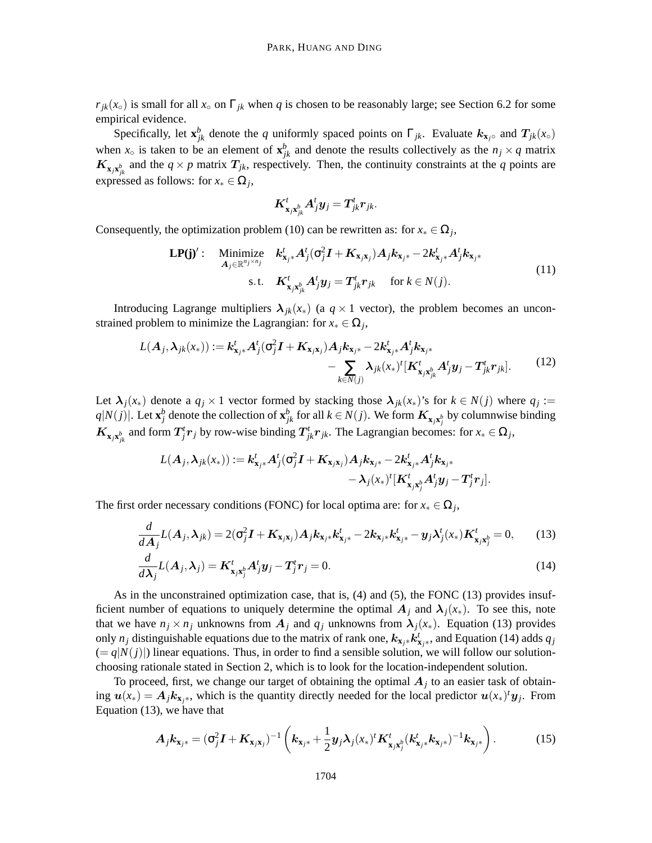$r_{jk}(x_{\circ})$  is small for all  $x_{\circ}$  on  $\Gamma_{jk}$  when *q* is chosen to be reasonably large; see Section 6.2 for some empirical evidence.

Specifically, let  $\mathbf{x}_{jk}^b$  denote the *q* uniformly spaced points on  $\Gamma_{jk}$ . Evaluate  $k_{\mathbf{x}_j}$ ° and  $T_{jk}(x_0)$ when  $x_0$  is taken to be an element of  $\mathbf{x}_{jk}^b$  and denote the results collectively as the  $n_j \times q$  matrix  $K_{\mathbf{x}_j\mathbf{x}_{jk}^b}$  and the  $q \times p$  matrix  $T_{jk}$ , respectively. Then, the continuity constraints at the *q* points are expressed as follows: for  $x_* \in \Omega_j$ ,

$$
\boldsymbol{K}^t_{\boldsymbol{\mathrm{x}}_j\boldsymbol{\mathrm{x}}^b_{jk}}\boldsymbol{A}^t_j\boldsymbol{y}_j=\boldsymbol{T}^t_{jk}\boldsymbol{r}_{jk}.
$$

Consequently, the optimization problem (10) can be rewritten as: for  $x_* \in \Omega_j$ ,

$$
\mathbf{LP(j)}': \quad \underset{\mathbf{A}_{j} \in \mathbb{R}^{n_j \times n_j}}{\text{Minimize}} \quad \mathbf{k}_{\mathbf{x}_{j*}}^t \mathbf{A}_{j}^t(\sigma_j^2 \mathbf{I} + \mathbf{K}_{\mathbf{x}_{j\mathbf{x}_j}}) \mathbf{A}_{j} \mathbf{k}_{\mathbf{x}_{j*}} - 2 \mathbf{k}_{\mathbf{x}_{j*}}^t \mathbf{A}_{j}^t \mathbf{k}_{\mathbf{x}_{j*}} \\
 \text{s.t.} \quad \mathbf{K}_{\mathbf{x}_{j\mathbf{x}_{jk}}^t}^t \mathbf{A}_{j}^t \mathbf{y}_{j} = \mathbf{T}_{jk}^t \mathbf{r}_{jk} \quad \text{for } k \in \mathbb{N}(j).
$$
\n
$$
(11)
$$

Introducing Lagrange multipliers  $\lambda_{ik}(x_*)$  (a  $q \times 1$  vector), the problem becomes an unconstrained problem to minimize the Lagrangian: for  $x_* \in \Omega_j$ ,

$$
L(\boldsymbol{A}_{j},\boldsymbol{\lambda}_{jk}(x_{*})) := \boldsymbol{k}_{\mathbf{x}_{j}*}^{t} \boldsymbol{A}_{j}^{t} (\sigma_{j}^{2} \boldsymbol{I} + \boldsymbol{K}_{\mathbf{x}_{j}*\mathbf{x}_{j}}) \boldsymbol{A}_{j} \boldsymbol{k}_{\mathbf{x}_{j}*} - 2 \boldsymbol{k}_{\mathbf{x}_{j}*}^{t} \boldsymbol{A}_{j}^{t} \boldsymbol{k}_{\mathbf{x}_{j}*} - \sum_{k \in N(j)} \lambda_{jk} (x_{*})^{t} [\boldsymbol{K}_{\mathbf{x}_{j}*\mathbf{x}_{jk}}^{t} \boldsymbol{A}_{j}^{t} \boldsymbol{y}_{j} - \boldsymbol{T}_{jk}^{t} \boldsymbol{r}_{jk}].
$$
 (12)

Let  $\lambda_j(x_*)$  denote a  $q_j \times 1$  vector formed by stacking those  $\lambda_{jk}(x_*)$ 's for  $k \in N(j)$  where  $q_j :=$  $q|N(j)|$ . Let  $\mathbf{x}_j^b$  denote the collection of  $\mathbf{x}_{jk}^b$  for all  $k \in N(j)$ . We form  $K_{\mathbf{x}_j\mathbf{x}_j^b}$  by columnwise binding  $K_{\mathbf{x}_j\mathbf{x}_{jk}^b}$  and form  $T_j^tr_j$  by row-wise binding  $T_{jk}^tr_{jk}$ . The Lagrangian becomes: for  $x_* \in \Omega_j$ ,

$$
L(A_j, \lambda_{jk}(x_*)) := \mathbf{k}_{\mathbf{x}_{j}*}^{t} A_j^t(\sigma_j^2 \mathbf{I} + \mathbf{K}_{\mathbf{x}_{j}\mathbf{x}_{j}}) A_j \mathbf{k}_{\mathbf{x}_{j}*} - 2 \mathbf{k}_{\mathbf{x}_{j}*}^{t} A_j^t \mathbf{k}_{\mathbf{x}_{j}*} - \lambda_j (x_*)^t [\mathbf{K}_{\mathbf{x}_{j}\mathbf{x}_{j}^b}^t A_j^t \mathbf{y}_{j} - \mathbf{T}_j^t \mathbf{r}_{j}].
$$

The first order necessary conditions (FONC) for local optima are: for  $x_* \in \Omega_j$ ,

$$
\frac{d}{dA_j}L(A_j,\lambda_{jk}) = 2(\sigma_j^2 I + K_{\mathbf{x}_j\mathbf{x}_j})A_j k_{\mathbf{x}_j *} k_{\mathbf{x}_j *}^t - 2k_{\mathbf{x}_j *} k_{\mathbf{x}_j *}^t - \mathbf{y}_j \lambda_j^t(x_*) K_{\mathbf{x}_j \mathbf{x}_j^b}^t = 0, \qquad (13)
$$

$$
\frac{d}{d\lambda_j}L(A_j,\lambda_j) = K_{\mathbf{x}_j\mathbf{x}_j^b}^t A_j^t \mathbf{y}_j - T_j^t \mathbf{r}_j = 0.
$$
\n(14)

As in the unconstrained optimization case, that is, (4) and (5), the FONC (13) provides insufficient number of equations to uniquely determine the optimal  $A_i$  and  $\lambda_i(x_*)$ . To see this, note that we have  $n_j \times n_j$  unknowns from  $A_j$  and  $q_j$  unknowns from  $\lambda_j(x_*)$ . Equation (13) provides only  $n_j$  distinguishable equations due to the matrix of rank one,  $k_{\mathbf{x}_{j}*} k_{\mathbf{x}_{j}*}^t$ , and Equation (14) adds  $q_j$  $(= q|N(j))$  linear equations. Thus, in order to find a sensible solution, we will follow our solutionchoosing rationale stated in Section 2, which is to look for the location-independent solution.

To proceed, first, we change our target of obtaining the optimal  $A_j$  to an easier task of obtaining  $u(x_*) = A_j k_{x_j*}$ , which is the quantity directly needed for the local predictor  $u(x_*)^t y_j$ . From Equation (13), we have that

$$
A_j k_{\mathbf{x}_{j^*}} = (\sigma_j^2 \mathbf{I} + \mathbf{K}_{\mathbf{x}_{j\mathbf{x}_{j}}})^{-1} \left( k_{\mathbf{x}_{j^*}} + \frac{1}{2} y_j \lambda_j (x_*)^t \mathbf{K}_{\mathbf{x}_{j} \mathbf{x}_{j}^b}^t (k_{\mathbf{x}_{j^*}}^t k_{\mathbf{x}_{j^*}})^{-1} k_{\mathbf{x}_{j^*}} \right).
$$
 (15)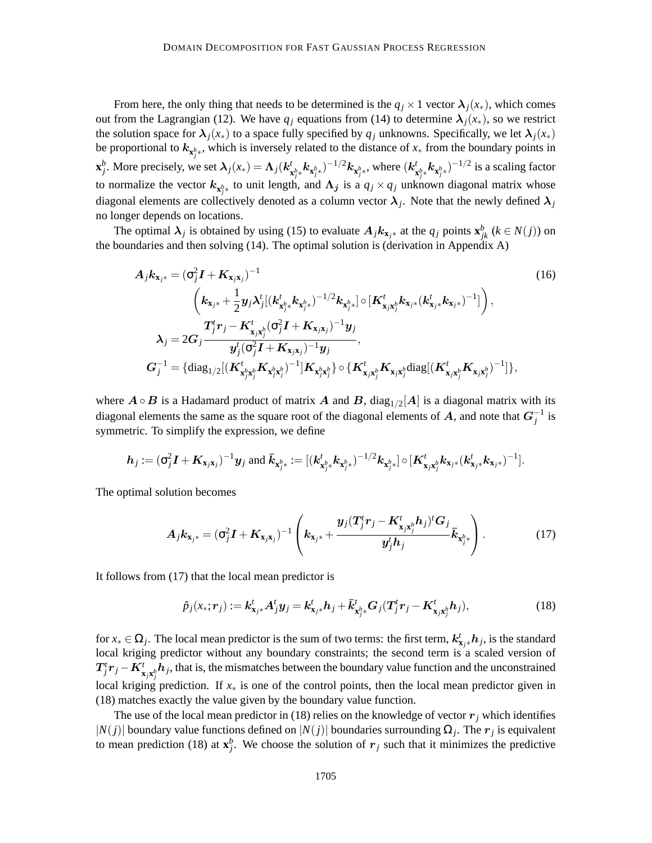From here, the only thing that needs to be determined is the  $q_j \times 1$  vector  $\lambda_j(x_*)$ , which comes out from the Lagrangian (12). We have  $q_i$  equations from (14) to determine  $\lambda_i(x_*)$ , so we restrict the solution space for  $\lambda_j(x_*)$  to a space fully specified by  $q_j$  unknowns. Specifically, we let  $\lambda_j(x_*)$ be proportional to  $k_{\mathbf{x}^b_j*}$ , which is inversely related to the distance of  $x_*$  from the boundary points in *j*  $\mathbf{x}_j^b$ . More precisely, we set  $\boldsymbol{\lambda}_j(x_*) = \boldsymbol{\Lambda}_j(k_j^t)$  $\left(\textbf{k}_{\textbf{x}^b_j*}^t \textbf{k}_{\textbf{x}^b_j*})^{-1/2} \textbf{k}_{\textbf{x}^b_j*}, \text{where } \left(\textbf{k}_{\textbf{x}^b_j*}^t \right)$  $\int_{\mathbf{x}_{j}^{b_{\ast}}}^{\mathbf{t}} \mathbf{k}_{\mathbf{x}_{j}^{b_{\ast}}}\big)^{-1/2}$  is a scaling factor to normalize the vector  $k_{\mathbf{x}^b_{j^*}}$  to unit length, and  $\Lambda_j$  is a  $q_j \times q_j$  unknown diagonal matrix whose diagonal elements are collectively denoted as a column vector  $\lambda_j$ . Note that the newly defined  $\lambda_j$ no longer depends on locations.

The optimal  $\lambda_j$  is obtained by using (15) to evaluate  $A_j k_{\mathbf{x}_{j^*}}$  at the  $q_j$  points  $\mathbf{x}_{jk}^b$  ( $k \in N(j)$ ) on the boundaries and then solving (14). The optimal solution is (derivation in Appendix A)

$$
A_{j}k_{\mathbf{x}_{j*}} = (\sigma_{j}^{2}I + K_{\mathbf{x}_{j}\mathbf{x}_{j}})^{-1}
$$
\n
$$
\left(k_{\mathbf{x}_{j*}} + \frac{1}{2}y_{j}\lambda_{j}^{t}[(k_{\mathbf{x}_{j*}}^{t}k_{\mathbf{x}_{j*}})^{-1/2}k_{\mathbf{x}_{j*}}] \circ [K_{\mathbf{x}_{j}\mathbf{x}_{j}}^{t}k_{\mathbf{x}_{j*}}(k_{\mathbf{x}_{j*}}^{t}k_{\mathbf{x}_{j*}})^{-1}]\right),
$$
\n
$$
\lambda_{j} = 2G_{j}\frac{T_{j}^{t}r_{j} - K_{\mathbf{x}_{j}\mathbf{x}_{j}^{b}}^{t}(\sigma_{j}^{2}I + K_{\mathbf{x}_{j}\mathbf{x}_{j}})^{-1}y_{j}}{y_{j}^{t}(\sigma_{j}^{2}I + K_{\mathbf{x}_{j}\mathbf{x}_{j}})^{-1}y_{j}},
$$
\n
$$
G_{j}^{-1} = \{\text{diag}_{1/2}[(K_{\mathbf{x}_{j}^{b}\mathbf{x}_{j}^{b}}^{t}K_{\mathbf{x}_{j}^{b}\mathbf{x}_{j}^{b}})^{-1}]K_{\mathbf{x}_{j}^{b}\mathbf{x}_{j}^{b}}\} \circ \{K_{\mathbf{x}_{j}\mathbf{x}_{j}^{b}}^{t}K_{\mathbf{x}_{j}\mathbf{x}_{j}^{b}}^{t}K_{\mathbf{x}_{j}\mathbf{x}_{j}^{b}})^{-1}]\},
$$
\n(16)

where  $A \circ B$  is a Hadamard product of matrix  $A$  and  $B$ , diag<sub>1/2</sub>[A] is a diagonal matrix with its diagonal elements the same as the square root of the diagonal elements of  $A$ , and note that  $G_j^{-1}$  is symmetric. To simplify the expression, we define

$$
\boldsymbol{h}_j := (\sigma_j^2 \boldsymbol{I} + \boldsymbol{K}_{\boldsymbol{x}_j \boldsymbol{x}_j})^{-1} \boldsymbol{y}_j \text{ and } \boldsymbol{\bar{k}}_{\boldsymbol{x}^b_{j^*}} := [(\boldsymbol{k}^t_{\boldsymbol{x}^b_{j^*}} \boldsymbol{k}_{\boldsymbol{x}^b_{j^*}})^{-1/2} \boldsymbol{k}_{\boldsymbol{x}^b_{j^*}}] \circ [\boldsymbol{K}^t_{\boldsymbol{x}_j \boldsymbol{x}^b_j} \boldsymbol{k}_{\boldsymbol{x}_j^*} (\boldsymbol{k}^t_{\boldsymbol{x}_j \boldsymbol{x}} \boldsymbol{k}_{\boldsymbol{x}_j^*})^{-1}].
$$

The optimal solution becomes

$$
A_j k_{\mathbf{x}_{j^*}} = (\sigma_j^2 I + K_{\mathbf{x}_{j\mathbf{x}_{j}}})^{-1} \left( k_{\mathbf{x}_{j^*}} + \frac{y_j (T_j^t r_j - K_{\mathbf{x}_{j\mathbf{x}_{j}^{b}}}^t h_j)^t G_j}{y_j^t h_j} \bar{k}_{\mathbf{x}_{j^*}^{b}} \right).
$$
 (17)

It follows from (17) that the local mean predictor is

$$
\hat{p}_j(x_*; r_j) := \mathbf{k}_{\mathbf{x}_{j*}}^t \mathbf{A}_{j}^t \mathbf{y}_j = \mathbf{k}_{\mathbf{x}_{j*}}^t \mathbf{h}_j + \bar{k}_{\mathbf{x}_{j*}^b}^t \mathbf{G}_j (\mathbf{T}_j^t r_j - \mathbf{K}_{\mathbf{x}_{j} \mathbf{x}_{j}^b}^t \mathbf{h}_j),
$$
\n(18)

for  $x_* \in \Omega_j$ . The local mean predictor is the sum of two terms: the first term,  $k^t_{x_j *} h_j$ , is the standard local kriging predictor without any boundary constraints; the second term is a scaled version of  $T^t_j r_j - K^t_{\mathbf{x}_j \mathbf{x}_j^b} h_j$ , that is, the mismatches between the boundary value function and the unconstrained local kriging prediction. If *x*<sup>∗</sup> is one of the control points, then the local mean predictor given in (18) matches exactly the value given by the boundary value function.

The use of the local mean predictor in (18) relies on the knowledge of vector  $r_j$  which identifies  $|N(j)|$  boundary value functions defined on  $|N(j)|$  boundaries surrounding  $\Omega_j$ . The  $r_j$  is equivalent to mean prediction (18) at  $\mathbf{x}_j^b$ . We choose the solution of  $r_j$  such that it minimizes the predictive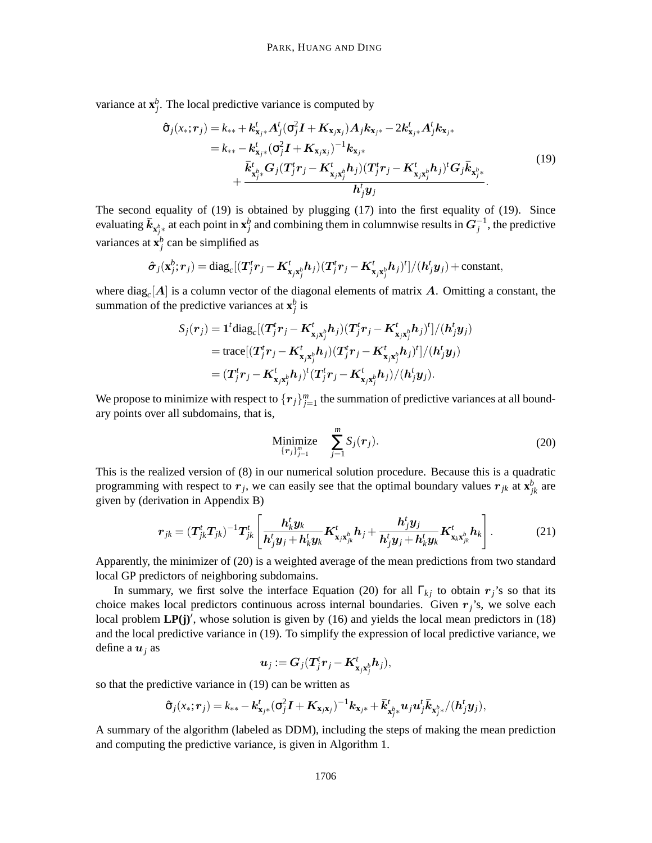variance at  $\mathbf{x}_j^b$ . The local predictive variance is computed by

$$
\hat{\sigma}_{j}(x_{*};r_{j}) = k_{**} + k_{\mathbf{x}_{j}*}^{t} A_{j}^{t}(\sigma_{j}^{2}I + K_{\mathbf{x}_{j}\mathbf{x}_{j}}) A_{j} k_{\mathbf{x}_{j}*} - 2k_{\mathbf{x}_{j}*}^{t} A_{j}^{t} k_{\mathbf{x}_{j}*} \n= k_{**} - k_{\mathbf{x}_{j}*}^{t}(\sigma_{j}^{2}I + K_{\mathbf{x}_{j}\mathbf{x}_{j}})^{-1} k_{\mathbf{x}_{j}*} \n+ \frac{\bar{k}_{\mathbf{x}_{j}^{k}*}^{t} G_{j}(T_{j}^{t}r_{j} - K_{\mathbf{x}_{j}\mathbf{x}_{j}^{k}}^{t} h_{j})(T_{j}^{t}r_{j} - K_{\mathbf{x}_{j}\mathbf{x}_{j}^{k}}^{t} h_{j})^{t} G_{j} \bar{k}_{\mathbf{x}_{j}*}^{t}}{h_{j}^{t} y_{j}}.
$$
\n(19)

The second equality of (19) is obtained by plugging (17) into the first equality of (19). Since evaluating  $\bar{k}_{\mathbf{x}^b_j*}$  at each point in  $\mathbf{x}^b_j$  and combining them in columnwise results in  $G_j^{-1}$ , the predictive variances at  $\mathbf{x}_j^b$  can be simplified as

$$
\hat{\boldsymbol{\sigma}}_j(\mathbf{x}_j^b; \boldsymbol{r}_j) = \text{diag}_c[(\boldsymbol{T}_j^t \boldsymbol{r}_j - \boldsymbol{K}_{\mathbf{x}_j \mathbf{x}_j^b}^t \boldsymbol{h}_j) (\boldsymbol{T}_j^t \boldsymbol{r}_j - \boldsymbol{K}_{\mathbf{x}_j \mathbf{x}_j^b}^t \boldsymbol{h}_j)^t]/(\boldsymbol{h}_j^t \boldsymbol{y}_j) + \text{constant},
$$

where  $\text{diag}_c[A]$  is a column vector of the diagonal elements of matrix  $A$ . Omitting a constant, the summation of the predictive variances at  $\mathbf{x}_j^b$  is

$$
\begin{aligned} S_j(\boldsymbol{r}_j) &= \mathbf{1}^t \text{diag}_c[(\boldsymbol{T}_j^t \boldsymbol{r}_j - \boldsymbol{K}_{\mathbf{x}_j \mathbf{x}_j^b}^t \boldsymbol{h}_j)(\boldsymbol{T}_j^t \boldsymbol{r}_j - \boldsymbol{K}_{\mathbf{x}_j \mathbf{x}_j^b}^t \boldsymbol{h}_j)^t]/(\boldsymbol{h}_j^t \boldsymbol{y}_j) \\ &= \text{trace}[(\boldsymbol{T}_j^t \boldsymbol{r}_j - \boldsymbol{K}_{\mathbf{x}_j \mathbf{x}_j^b}^t \boldsymbol{h}_j)(\boldsymbol{T}_j^t \boldsymbol{r}_j - \boldsymbol{K}_{\mathbf{x}_j \mathbf{x}_j^b}^t \boldsymbol{h}_j)^t]/(\boldsymbol{h}_j^t \boldsymbol{y}_j) \\ &= (\boldsymbol{T}_j^t \boldsymbol{r}_j - \boldsymbol{K}_{\mathbf{x}_j \mathbf{x}_j^b}^t \boldsymbol{h}_j)^t (\boldsymbol{T}_j^t \boldsymbol{r}_j - \boldsymbol{K}_{\mathbf{x}_j \mathbf{x}_j^b}^t \boldsymbol{h}_j)/(\boldsymbol{h}_j^t \boldsymbol{y}_j). \end{aligned}
$$

We propose to minimize with respect to  ${r_j}_{j=1}^m$  the summation of predictive variances at all boundary points over all subdomains, that is,

Minimize 
$$
\sum_{\{\boldsymbol{r}_j\}_{j=1}^m}^m S_j(\boldsymbol{r}_j).
$$
 (20)

This is the realized version of (8) in our numerical solution procedure. Because this is a quadratic programming with respect to  $r_j$ , we can easily see that the optimal boundary values  $r_{jk}$  at  $\mathbf{x}_{jk}^b$  are given by (derivation in Appendix B)

$$
\boldsymbol{r}_{jk} = (\boldsymbol{T}^t_{jk}\boldsymbol{T}_{jk})^{-1}\boldsymbol{T}^t_{jk}\left[\frac{\boldsymbol{h}^t_{k}\boldsymbol{y}_{k}}{\boldsymbol{h}^t_{j}\boldsymbol{y}_{j} + \boldsymbol{h}^t_{k}\boldsymbol{y}_{k}}\boldsymbol{K}^t_{\boldsymbol{x}_{j}\boldsymbol{x}_{jk}^b}\boldsymbol{h}_{j} + \frac{\boldsymbol{h}^t_{j}\boldsymbol{y}_{j}}{\boldsymbol{h}^t_{j}\boldsymbol{y}_{j} + \boldsymbol{h}^t_{k}\boldsymbol{y}_{k}}\boldsymbol{K}^t_{\boldsymbol{x}_{k}\boldsymbol{x}_{jk}^b}\boldsymbol{h}_{k}\right].
$$
 (21)

Apparently, the minimizer of (20) is a weighted average of the mean predictions from two standard local GP predictors of neighboring subdomains.

In summary, we first solve the interface Equation (20) for all  $\Gamma_{kj}$  to obtain  $r_j$ 's so that its choice makes local predictors continuous across internal boundaries. Given  $r_j$ 's, we solve each local problem **LP(j)'**, whose solution is given by (16) and yields the local mean predictors in (18) and the local predictive variance in (19). To simplify the expression of local predictive variance, we define a  $u_i$  as

$$
\boldsymbol{u}_j := \boldsymbol{G}_j (\boldsymbol{T}_j^t \boldsymbol{r}_j - \boldsymbol{K}_{\boldsymbol{\mathrm{x}}_j \boldsymbol{\mathrm{x}}_j^b}^t \boldsymbol{h}_j),
$$

so that the predictive variance in (19) can be written as

$$
\hat{\sigma}_j(x_*; \bm{r}_j) = k_{**} - \bm{k}_{\mathbf{x}_{j^*}}^t(\sigma_j^2 \bm{I} + \bm{K}_{\mathbf{x}_{j} \mathbf{x}_{j}})^{-1} \bm{k}_{\mathbf{x}_{j^*}} + \bar{\bm{k}}_{\mathbf{x}_{j^*}^b}^t \bm{u}_j \bm{u}_j^t \bar{\bm{k}}_{\mathbf{x}_{j^*}^b} / (\bm{h}_j^t \bm{y}_j),
$$

A summary of the algorithm (labeled as DDM), including the steps of making the mean prediction and computing the predictive variance, is given in Algorithm 1.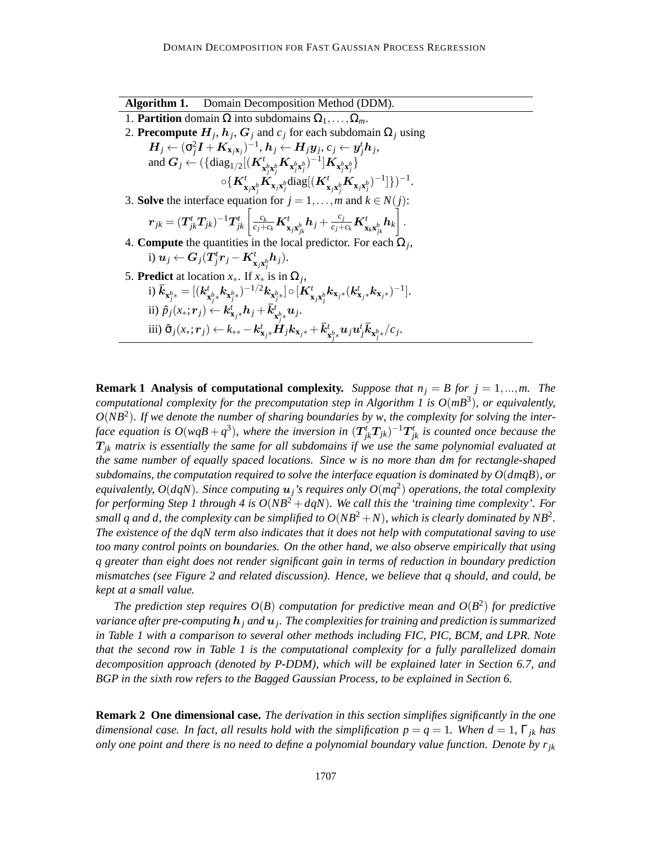**Algorithm 1.** Domain Decomposition Method (DDM). 1. **Partition** domain  $\Omega$  into subdomains  $\Omega_1, \ldots, \Omega_m$ . 2. **Precompute**  $H_j$ ,  $h_j$ ,  $G_j$  and  $c_j$  for each subdomain  $\Omega_j$  using  $\boldsymbol{H}_j \leftarrow (\sigma_j^2 \boldsymbol{I} + \boldsymbol{K}_{\mathbf{x}_j \mathbf{x}_j})^{-1}, \boldsymbol{h}_j \leftarrow \boldsymbol{H}_j \boldsymbol{y}_j, c_j \leftarrow \boldsymbol{y}_j^t \boldsymbol{h}_j,$ and  $G_j \leftarrow (\{\text{diag}_{1/2}[(K_{\mathbf{x}_j^b\mathbf{x}_j^b}^t K_{\mathbf{x}_j^b\mathbf{x}_j^b})^{-1}]\mathbf{K}_{\mathbf{x}_j^b\mathbf{x}_j^b}]$  $\circ \{ \boldsymbol{K}^t_{\mathbf{x}_j \mathbf{x}^b_j} \tilde{\boldsymbol{K}}_{\mathbf{x}_j \mathbf{x}^b_j} \text{diag}[(\boldsymbol{K}^t_{\mathbf{x}_j \mathbf{x}^b_j} \boldsymbol{K}_{\mathbf{x}_j \mathbf{x}^b_j})^{-1}]\})^{-1}.$ 3. **Solve** the interface equation for  $j = 1, ..., m$  and  $k \in N(j)$ :  $\boldsymbol{r}_{jk} = (\boldsymbol{T}^t_{jk}\boldsymbol{T}_{jk})^{-1}\boldsymbol{T}^t_{jk}\left[\frac{c_k}{c_j+c_k}\boldsymbol{K}^t_{\boldsymbol{\mathrm{x}}_j\boldsymbol{\mathrm{x}}^b_{jk}}\boldsymbol{h}_j + \frac{c_j}{c_j+c_k}\boldsymbol{K}^t_{\boldsymbol{\mathrm{x}}_k\boldsymbol{\mathrm{x}}^b_{jk}}\boldsymbol{h}_k\right]$ Ť . 4. **Compute** the quantities in the local predictor. For each  $\Omega_j$ , i)  $\boldsymbol{u}_j \leftarrow \boldsymbol{G}_j(\boldsymbol{T}_j^t\boldsymbol{r}_j - \boldsymbol{K}_{\mathbf{x}_j\mathbf{x}_j^b}^t\boldsymbol{h}_j).$ 5. **Predict** at location  $x_*$ . If  $x_*$  is in  $\Omega_j$ , i)  $\bar{k}_{\mathbf{x}_{j}^{b_{*}}} = [(k_{j}^{t})]$  ${}^t_{\mathbf{x}^b_j*} \pmb{k}_{\mathbf{x}^b_j*})^{-1/2} \pmb{k}_{\mathbf{x}^b_j*}] \circ [\pmb{K}^t_{\mathbf{x}_j\mathbf{x}^b_j} \pmb{k}_{\mathbf{x}_{j^*}} (\pmb{k}^t_{\mathbf{x}_{j^*}} \pmb{k}_{\mathbf{x}_{j^*}})^{-1}].$ ii)  $\hat{p}_j(x_*; \mathbf{r}_j) \leftarrow \mathbf{k}_{\mathbf{x}_{j^*}}^t \mathbf{h}_j + \overline{\mathbf{k}}_{\mathbf{x}_{j^*}}^t \mathbf{u}_j.$ iii)  $\hat{\sigma}_j(x_*,\bm{r}_j) \leftarrow k_{**} - \bm{k}^t_{\mathbf{x}_{j^*}} \bm{H}_j \bm{k}_{\mathbf{x}_{j^*}} + \bar{k}^t_{\mathbf{x}^b_{j^*}} \bm{u}_j \bm{u}_j^t \bar{k}_{\mathbf{x}^b_{j^*}} / c_j.$ 

**Remark 1 Analysis of computational complexity.** *Suppose that*  $n_j = B$  for  $j = 1, ..., m$ . The *computational complexity for the precomputation step in Algorithm 1 is*  $O(mB^3)$ *, or equivalently, O*(*NB*<sup>2</sup> )*. If we denote the number of sharing boundaries by w, the complexity for solving the inter*face equation is  $O(wqB + q^3)$ , where the inversion in  $(T^t_{jk}T_{jk})^{-1}T^t_{jk}$  is counted once because the  $T_{ik}$  *matrix is essentially the same for all subdomains if we use the same polynomial evaluated at the same number of equally spaced locations. Since w is no more than dm for rectangle-shaped subdomains, the computation required to solve the interface equation is dominated by O*(*dmqB*)*, or equivalently, O*( $dqN$ ). Since computing  $u_j$ 's requires only  $O(mq^2)$  operations, the total complexity *for performing Step 1 through 4 is O*(*NB*<sup>2</sup> +*dqN*)*. We call this the 'training time complexity'. For* small q and d, the complexity can be simplified to  $O(NB^2 + N)$ , which is clearly dominated by  $NB^2$ . *The existence of the dqN term also indicates that it does not help with computational saving to use too many control points on boundaries. On the other hand, we also observe empirically that using q greater than eight does not render significant gain in terms of reduction in boundary prediction mismatches (see Figure 2 and related discussion). Hence, we believe that q should, and could, be kept at a small value.*

The prediction step requires  $O(B)$  computation for predictive mean and  $O(B^2)$  for predictive *variance after pre-computing* h*<sup>j</sup> and* u*<sup>j</sup> . The complexities for training and prediction is summarized in Table 1 with a comparison to several other methods including FIC, PIC, BCM, and LPR. Note that the second row in Table 1 is the computational complexity for a fully parallelized domain decomposition approach (denoted by P-DDM), which will be explained later in Section 6.7, and BGP in the sixth row refers to the Bagged Gaussian Process, to be explained in Section 6.*

**Remark 2 One dimensional case.** *The derivation in this section simplifies significantly in the one dimensional case. In fact, all results hold with the simplification*  $p = q = 1$ *. When*  $d = 1$ *,*  $\Gamma_{ik}$  *has only one point and there is no need to define a polynomial boundary value function. Denote by rjk*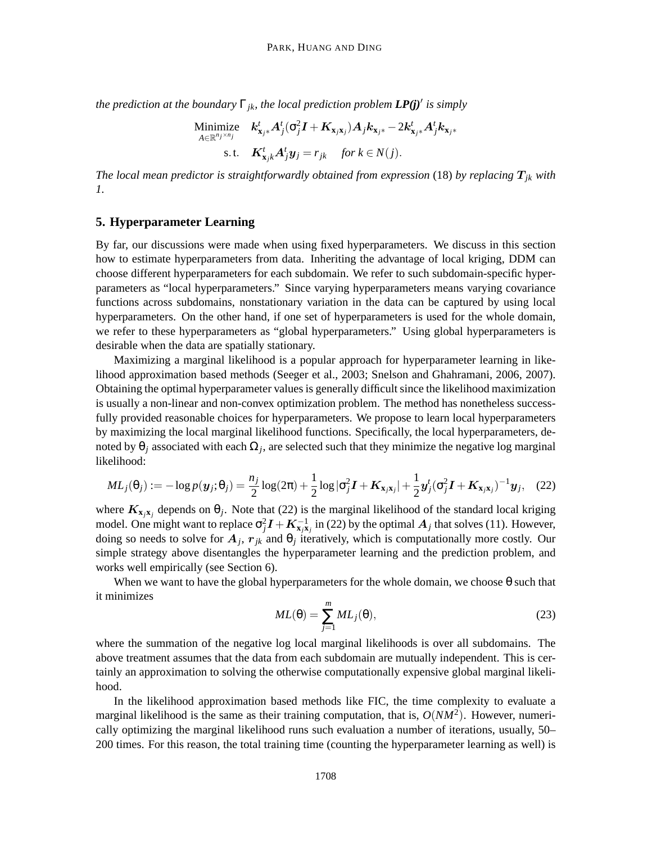*the prediction at the boundary* Γ*jk, the local prediction problem LP(j)*′ *is simply*

$$
\begin{aligned}\n\text{Minimize} \quad & \mathbf{k}_{\mathbf{x}_{j^{*}}}^{t} \mathbf{A}_{j}^{t}(\sigma_{j}^{2} \mathbf{I} + \mathbf{K}_{\mathbf{x}_{j} \mathbf{x}_{j}}) \mathbf{A}_{j} \mathbf{k}_{\mathbf{x}_{j^{*}}} - 2 \mathbf{k}_{\mathbf{x}_{j^{*}}}^{t} \mathbf{A}_{j}^{t} \mathbf{k}_{\mathbf{x}_{j^{*}}} \\
& \text{s.t.} \quad & \mathbf{K}_{\mathbf{x}_{j} k}^{t} \mathbf{A}_{j}^{t} \mathbf{y}_{j} = r_{jk} \quad \text{for } k \in \mathbb{N}(j).\n\end{aligned}
$$

*The local mean predictor is straightforwardly obtained from expression* (18) *by replacing*  $T_{jk}$  *with 1.*

## **5. Hyperparameter Learning**

By far, our discussions were made when using fixed hyperparameters. We discuss in this section how to estimate hyperparameters from data. Inheriting the advantage of local kriging, DDM can choose different hyperparameters for each subdomain. We refer to such subdomain-specific hyperparameters as "local hyperparameters." Since varying hyperparameters means varying covariance functions across subdomains, nonstationary variation in the data can be captured by using local hyperparameters. On the other hand, if one set of hyperparameters is used for the whole domain, we refer to these hyperparameters as "global hyperparameters." Using global hyperparameters is desirable when the data are spatially stationary.

Maximizing a marginal likelihood is a popular approach for hyperparameter learning in likelihood approximation based methods (Seeger et al., 2003; Snelson and Ghahramani, 2006, 2007). Obtaining the optimal hyperparameter values is generally difficult since the likelihood maximization is usually a non-linear and non-convex optimization problem. The method has nonetheless successfully provided reasonable choices for hyperparameters. We propose to learn local hyperparameters by maximizing the local marginal likelihood functions. Specifically, the local hyperparameters, denoted by  $\theta_j$  associated with each  $\Omega_j$ , are selected such that they minimize the negative log marginal likelihood:

$$
ML_j(\theta_j) := -\log p(\boldsymbol{y}_j; \theta_j) = \frac{n_j}{2}\log(2\pi) + \frac{1}{2}\log|\sigma_j^2 \boldsymbol{I} + \boldsymbol{K}_{\mathbf{x}_j\mathbf{x}_j}| + \frac{1}{2}\boldsymbol{y}_j^t(\sigma_j^2 \boldsymbol{I} + \boldsymbol{K}_{\mathbf{x}_j\mathbf{x}_j})^{-1}\boldsymbol{y}_j, \quad (22)
$$

where  $K_{x_jx_j}$  depends on  $\theta_j$ . Note that (22) is the marginal likelihood of the standard local kriging model. One might want to replace  $\sigma_j^2 I + K_{\mathbf{x}_j \mathbf{x}_j}^{-1}$  in (22) by the optimal  $A_j$  that solves (11). However, doing so needs to solve for  $A_j$ ,  $r_{jk}$  and  $\theta_j$  iteratively, which is computationally more costly. Our simple strategy above disentangles the hyperparameter learning and the prediction problem, and works well empirically (see Section 6).

When we want to have the global hyperparameters for the whole domain, we choose  $\theta$  such that it minimizes

$$
ML(\theta) = \sum_{j=1}^{m} ML_j(\theta),
$$
\n(23)

where the summation of the negative log local marginal likelihoods is over all subdomains. The above treatment assumes that the data from each subdomain are mutually independent. This is certainly an approximation to solving the otherwise computationally expensive global marginal likelihood.

In the likelihood approximation based methods like FIC, the time complexity to evaluate a marginal likelihood is the same as their training computation, that is, *O*(*NM*<sup>2</sup> ). However, numerically optimizing the marginal likelihood runs such evaluation a number of iterations, usually, 50– 200 times. For this reason, the total training time (counting the hyperparameter learning as well) is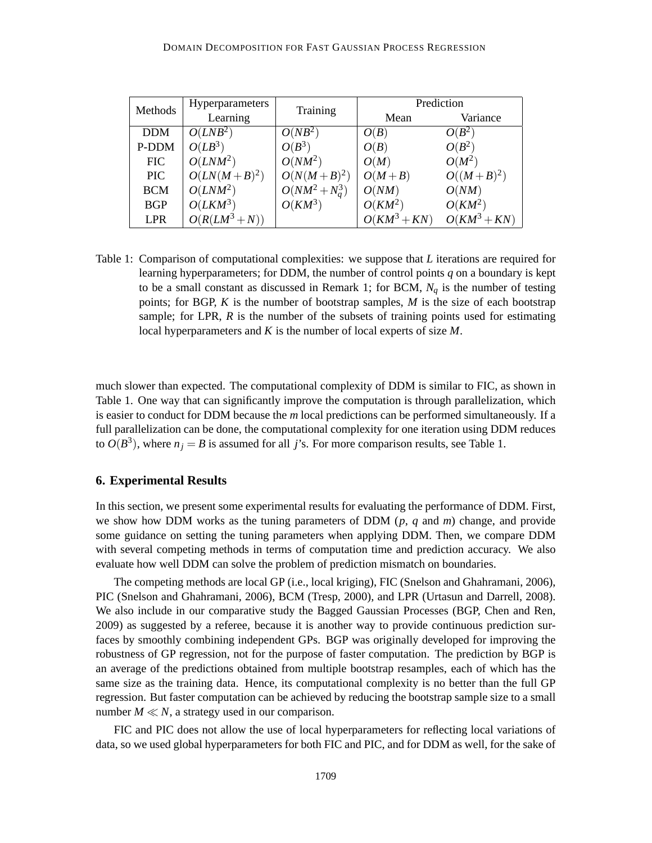| Methods    | Hyperparameters | Training          | Prediction     |                |
|------------|-----------------|-------------------|----------------|----------------|
|            | Learning        |                   | Mean           | Variance       |
| <b>DDM</b> | $O(LNB^2)$      | $O(NB^2)$         | O(B)           | $O(B^2)$       |
| P-DDM      | $O(LB^3)$       | $O(B^3)$          | O(B)           | $O(B^2)$       |
| <b>FIC</b> | $O(LNM^2)$      | $O(NM^2)$         | O(M)           | $O(M^2)$       |
| <b>PIC</b> | $O(LN(M+B)^2)$  | $O(N(M+B)^2)$     | $O(M+B)$       | $O((M+B)^2)$   |
| <b>BCM</b> | $O(LNM^2)$      | $O(NM^2 + N_a^3)$ | O(NM)          | O(NM)          |
| <b>BGP</b> | $O(LKM^3)$      | $O(KM^3)$         | $O(KM^2)$      | $O(KM^2)$      |
| <b>LPR</b> | $O(R(LM^3+N))$  |                   | $O(KM^3 + KN)$ | $O(KM^3 + KN)$ |

Table 1: Comparison of computational complexities: we suppose that *L* iterations are required for learning hyperparameters; for DDM, the number of control points *q* on a boundary is kept to be a small constant as discussed in Remark 1; for BCM, *N<sup>q</sup>* is the number of testing points; for BGP, *K* is the number of bootstrap samples, *M* is the size of each bootstrap sample; for LPR,  $R$  is the number of the subsets of training points used for estimating local hyperparameters and *K* is the number of local experts of size *M*.

much slower than expected. The computational complexity of DDM is similar to FIC, as shown in Table 1. One way that can significantly improve the computation is through parallelization, which is easier to conduct for DDM because the *m* local predictions can be performed simultaneously. If a full parallelization can be done, the computational complexity for one iteration using DDM reduces to  $O(B^3)$ , where  $n_j = B$  is assumed for all *j*'s. For more comparison results, see Table 1.

#### **6. Experimental Results**

In this section, we present some experimental results for evaluating the performance of DDM. First, we show how DDM works as the tuning parameters of DDM (*p*, *q* and *m*) change, and provide some guidance on setting the tuning parameters when applying DDM. Then, we compare DDM with several competing methods in terms of computation time and prediction accuracy. We also evaluate how well DDM can solve the problem of prediction mismatch on boundaries.

The competing methods are local GP (i.e., local kriging), FIC (Snelson and Ghahramani, 2006), PIC (Snelson and Ghahramani, 2006), BCM (Tresp, 2000), and LPR (Urtasun and Darrell, 2008). We also include in our comparative study the Bagged Gaussian Processes (BGP, Chen and Ren, 2009) as suggested by a referee, because it is another way to provide continuous prediction surfaces by smoothly combining independent GPs. BGP was originally developed for improving the robustness of GP regression, not for the purpose of faster computation. The prediction by BGP is an average of the predictions obtained from multiple bootstrap resamples, each of which has the same size as the training data. Hence, its computational complexity is no better than the full GP regression. But faster computation can be achieved by reducing the bootstrap sample size to a small number  $M \ll N$ , a strategy used in our comparison.

FIC and PIC does not allow the use of local hyperparameters for reflecting local variations of data, so we used global hyperparameters for both FIC and PIC, and for DDM as well, for the sake of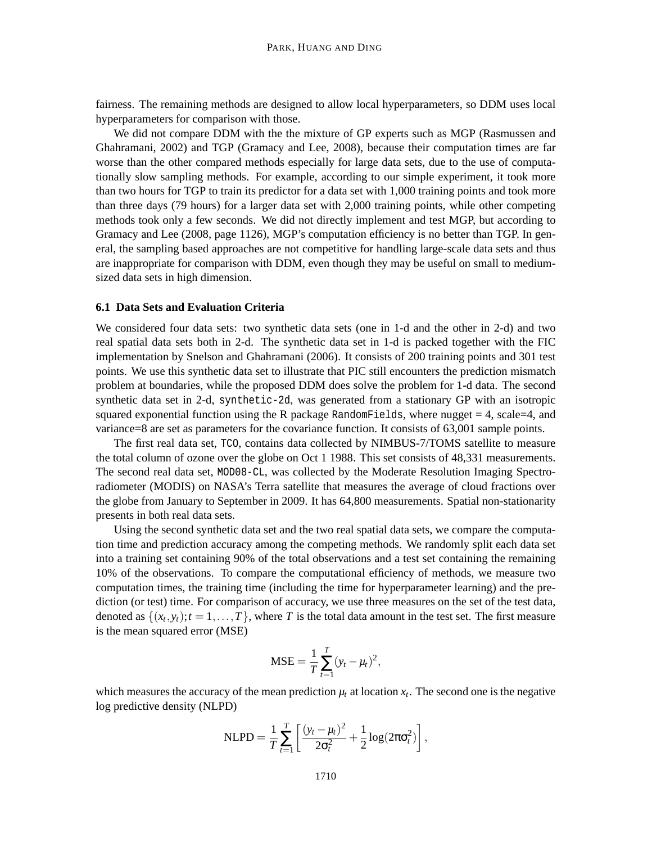fairness. The remaining methods are designed to allow local hyperparameters, so DDM uses local hyperparameters for comparison with those.

We did not compare DDM with the the mixture of GP experts such as MGP (Rasmussen and Ghahramani, 2002) and TGP (Gramacy and Lee, 2008), because their computation times are far worse than the other compared methods especially for large data sets, due to the use of computationally slow sampling methods. For example, according to our simple experiment, it took more than two hours for TGP to train its predictor for a data set with 1,000 training points and took more than three days (79 hours) for a larger data set with 2,000 training points, while other competing methods took only a few seconds. We did not directly implement and test MGP, but according to Gramacy and Lee (2008, page 1126), MGP's computation efficiency is no better than TGP. In general, the sampling based approaches are not competitive for handling large-scale data sets and thus are inappropriate for comparison with DDM, even though they may be useful on small to mediumsized data sets in high dimension.

#### **6.1 Data Sets and Evaluation Criteria**

We considered four data sets: two synthetic data sets (one in 1-d and the other in 2-d) and two real spatial data sets both in 2-d. The synthetic data set in 1-d is packed together with the FIC implementation by Snelson and Ghahramani (2006). It consists of 200 training points and 301 test points. We use this synthetic data set to illustrate that PIC still encounters the prediction mismatch problem at boundaries, while the proposed DDM does solve the problem for 1-d data. The second synthetic data set in 2-d, synthetic-2d, was generated from a stationary GP with an isotropic squared exponential function using the R package RandomFields, where nugget  $= 4$ , scale=4, and variance=8 are set as parameters for the covariance function. It consists of 63,001 sample points.

The first real data set, TCO, contains data collected by NIMBUS-7/TOMS satellite to measure the total column of ozone over the globe on Oct 1 1988. This set consists of 48,331 measurements. The second real data set, MOD08-CL, was collected by the Moderate Resolution Imaging Spectroradiometer (MODIS) on NASA's Terra satellite that measures the average of cloud fractions over the globe from January to September in 2009. It has 64,800 measurements. Spatial non-stationarity presents in both real data sets.

Using the second synthetic data set and the two real spatial data sets, we compare the computation time and prediction accuracy among the competing methods. We randomly split each data set into a training set containing 90% of the total observations and a test set containing the remaining 10% of the observations. To compare the computational efficiency of methods, we measure two computation times, the training time (including the time for hyperparameter learning) and the prediction (or test) time. For comparison of accuracy, we use three measures on the set of the test data, denoted as  $\{(x_t, y_t); t = 1, \ldots, T\}$ , where *T* is the total data amount in the test set. The first measure is the mean squared error (MSE)

$$
MSE = \frac{1}{T} \sum_{t=1}^{T} (y_t - \mu_t)^2,
$$

which measures the accuracy of the mean prediction  $\mu_t$  at location  $x_t$ . The second one is the negative log predictive density (NLPD)

NLPD = 
$$
\frac{1}{T} \sum_{t=1}^{T} \left[ \frac{(y_t - \mu_t)^2}{2\sigma_t^2} + \frac{1}{2} \log(2\pi\sigma_t^2) \right],
$$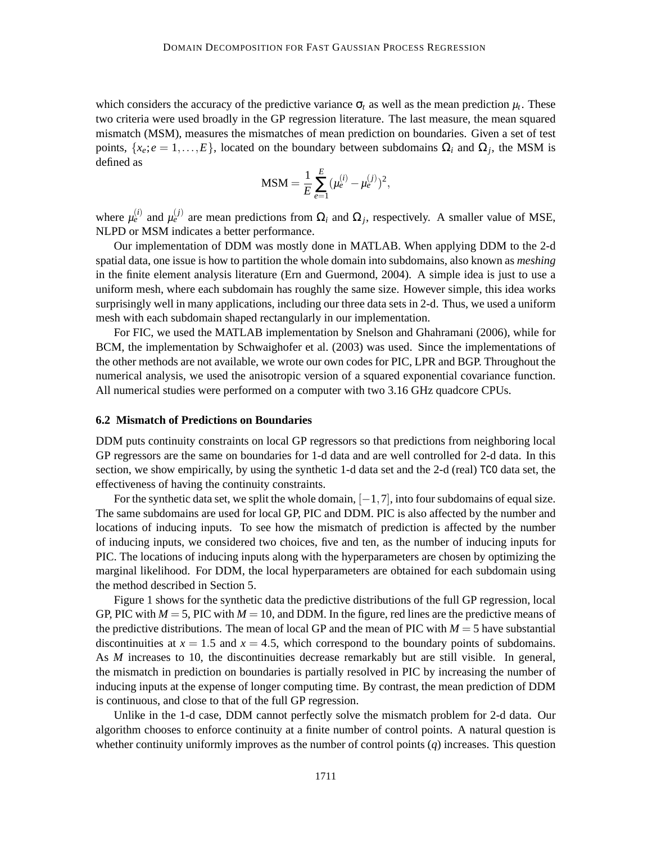which considers the accuracy of the predictive variance  $\sigma_t$  as well as the mean prediction  $\mu_t$ . These two criteria were used broadly in the GP regression literature. The last measure, the mean squared mismatch (MSM), measures the mismatches of mean prediction on boundaries. Given a set of test points,  $\{x_e; e = 1, \ldots, E\}$ , located on the boundary between subdomains  $\Omega_i$  and  $\Omega_j$ , the MSM is defined as

$$
\text{MSM} = \frac{1}{E} \sum_{e=1}^{E} (\mu_e^{(i)} - \mu_e^{(j)})^2,
$$

where  $\mu_e^{(i)}$  and  $\mu_e^{(j)}$  are mean predictions from  $\Omega_i$  and  $\Omega_j$ , respectively. A smaller value of MSE, NLPD or MSM indicates a better performance.

Our implementation of DDM was mostly done in MATLAB. When applying DDM to the 2-d spatial data, one issue is how to partition the whole domain into subdomains, also known as *meshing* in the finite element analysis literature (Ern and Guermond, 2004). A simple idea is just to use a uniform mesh, where each subdomain has roughly the same size. However simple, this idea works surprisingly well in many applications, including our three data sets in 2-d. Thus, we used a uniform mesh with each subdomain shaped rectangularly in our implementation.

For FIC, we used the MATLAB implementation by Snelson and Ghahramani (2006), while for BCM, the implementation by Schwaighofer et al. (2003) was used. Since the implementations of the other methods are not available, we wrote our own codes for PIC, LPR and BGP. Throughout the numerical analysis, we used the anisotropic version of a squared exponential covariance function. All numerical studies were performed on a computer with two 3.16 GHz quadcore CPUs.

#### **6.2 Mismatch of Predictions on Boundaries**

DDM puts continuity constraints on local GP regressors so that predictions from neighboring local GP regressors are the same on boundaries for 1-d data and are well controlled for 2-d data. In this section, we show empirically, by using the synthetic 1-d data set and the 2-d (real) TCO data set, the effectiveness of having the continuity constraints.

For the synthetic data set, we split the whole domain,  $[-1,7]$ , into four subdomains of equal size. The same subdomains are used for local GP, PIC and DDM. PIC is also affected by the number and locations of inducing inputs. To see how the mismatch of prediction is affected by the number of inducing inputs, we considered two choices, five and ten, as the number of inducing inputs for PIC. The locations of inducing inputs along with the hyperparameters are chosen by optimizing the marginal likelihood. For DDM, the local hyperparameters are obtained for each subdomain using the method described in Section 5.

Figure 1 shows for the synthetic data the predictive distributions of the full GP regression, local GP, PIC with  $M = 5$ , PIC with  $M = 10$ , and DDM. In the figure, red lines are the predictive means of the predictive distributions. The mean of local GP and the mean of PIC with  $M = 5$  have substantial discontinuities at  $x = 1.5$  and  $x = 4.5$ , which correspond to the boundary points of subdomains. As *M* increases to 10, the discontinuities decrease remarkably but are still visible. In general, the mismatch in prediction on boundaries is partially resolved in PIC by increasing the number of inducing inputs at the expense of longer computing time. By contrast, the mean prediction of DDM is continuous, and close to that of the full GP regression.

Unlike in the 1-d case, DDM cannot perfectly solve the mismatch problem for 2-d data. Our algorithm chooses to enforce continuity at a finite number of control points. A natural question is whether continuity uniformly improves as the number of control points (*q*) increases. This question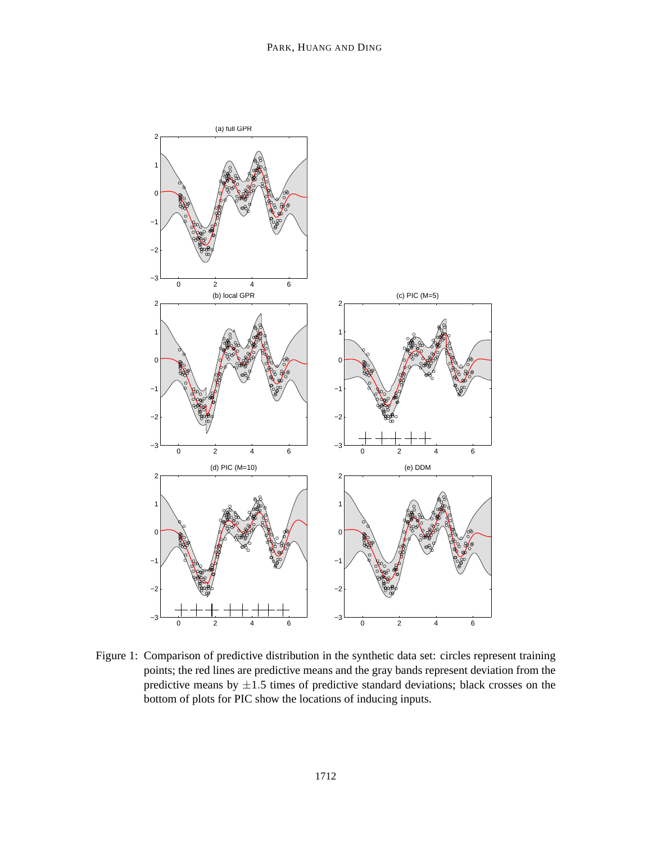

Figure 1: Comparison of predictive distribution in the synthetic data set: circles represent training points; the red lines are predictive means and the gray bands represent deviation from the predictive means by  $\pm 1.5$  times of predictive standard deviations; black crosses on the bottom of plots for PIC show the locations of inducing inputs.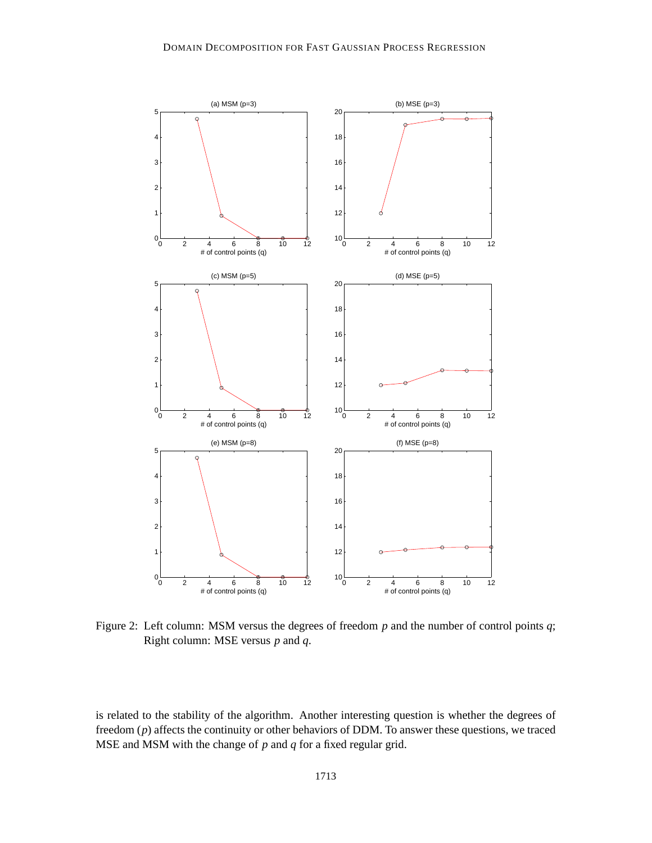

Figure 2: Left column: MSM versus the degrees of freedom *p* and the number of control points *q*; Right column: MSE versus *p* and *q*.

is related to the stability of the algorithm. Another interesting question is whether the degrees of freedom (*p*) affects the continuity or other behaviors of DDM. To answer these questions, we traced MSE and MSM with the change of *p* and *q* for a fixed regular grid.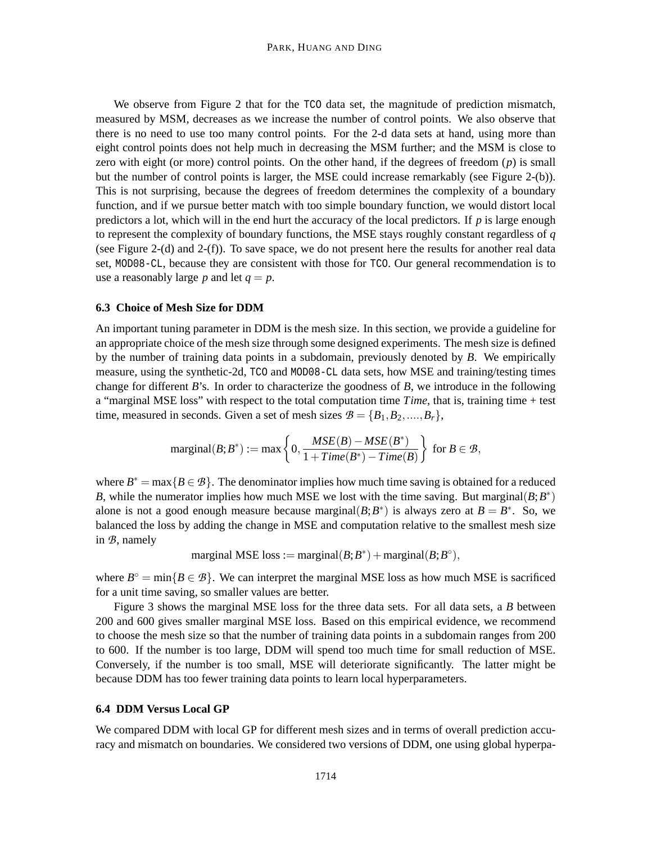We observe from Figure 2 that for the TCO data set, the magnitude of prediction mismatch, measured by MSM, decreases as we increase the number of control points. We also observe that there is no need to use too many control points. For the 2-d data sets at hand, using more than eight control points does not help much in decreasing the MSM further; and the MSM is close to zero with eight (or more) control points. On the other hand, if the degrees of freedom (*p*) is small but the number of control points is larger, the MSE could increase remarkably (see Figure 2-(b)). This is not surprising, because the degrees of freedom determines the complexity of a boundary function, and if we pursue better match with too simple boundary function, we would distort local predictors a lot, which will in the end hurt the accuracy of the local predictors. If *p* is large enough to represent the complexity of boundary functions, the MSE stays roughly constant regardless of *q* (see Figure 2-(d) and 2-(f)). To save space, we do not present here the results for another real data set, MOD08-CL, because they are consistent with those for TCO. Our general recommendation is to use a reasonably large *p* and let  $q = p$ .

#### **6.3 Choice of Mesh Size for DDM**

An important tuning parameter in DDM is the mesh size. In this section, we provide a guideline for an appropriate choice of the mesh size through some designed experiments. The mesh size is defined by the number of training data points in a subdomain, previously denoted by *B*. We empirically measure, using the synthetic-2d, TCO and MOD08-CL data sets, how MSE and training/testing times change for different *B*'s. In order to characterize the goodness of *B*, we introduce in the following a "marginal MSE loss" with respect to the total computation time *Time*, that is, training time + test time, measured in seconds. Given a set of mesh sizes  $B = \{B_1, B_2, ..., B_r\}$ ,

$$
\mathrm{marginal}(B; B^*) := \max\left\{0, \frac{MSE(B) - MSE(B^*)}{1 + Time(B^*) - Time(B)}\right\} \text{ for } B \in \mathcal{B},
$$

where  $B^* = \max\{B \in \mathcal{B}\}\.$  The denominator implies how much time saving is obtained for a reduced *B*, while the numerator implies how much MSE we lost with the time saving. But marginal $(B; B^*)$ alone is not a good enough measure because marginal( $B$ ;  $B^*$ ) is always zero at  $B = B^*$ . So, we balanced the loss by adding the change in MSE and computation relative to the smallest mesh size in *B*, namely

marginal MSE loss := marginal(
$$
B
$$
;  $B^*$ ) + marginal( $B$ ;  $B^{\circ}$ ),

where  $B^{\circ} = \min\{B \in \mathcal{B}\}\.$  We can interpret the marginal MSE loss as how much MSE is sacrificed for a unit time saving, so smaller values are better.

Figure 3 shows the marginal MSE loss for the three data sets. For all data sets, a *B* between 200 and 600 gives smaller marginal MSE loss. Based on this empirical evidence, we recommend to choose the mesh size so that the number of training data points in a subdomain ranges from 200 to 600. If the number is too large, DDM will spend too much time for small reduction of MSE. Conversely, if the number is too small, MSE will deteriorate significantly. The latter might be because DDM has too fewer training data points to learn local hyperparameters.

## **6.4 DDM Versus Local GP**

We compared DDM with local GP for different mesh sizes and in terms of overall prediction accuracy and mismatch on boundaries. We considered two versions of DDM, one using global hyperpa-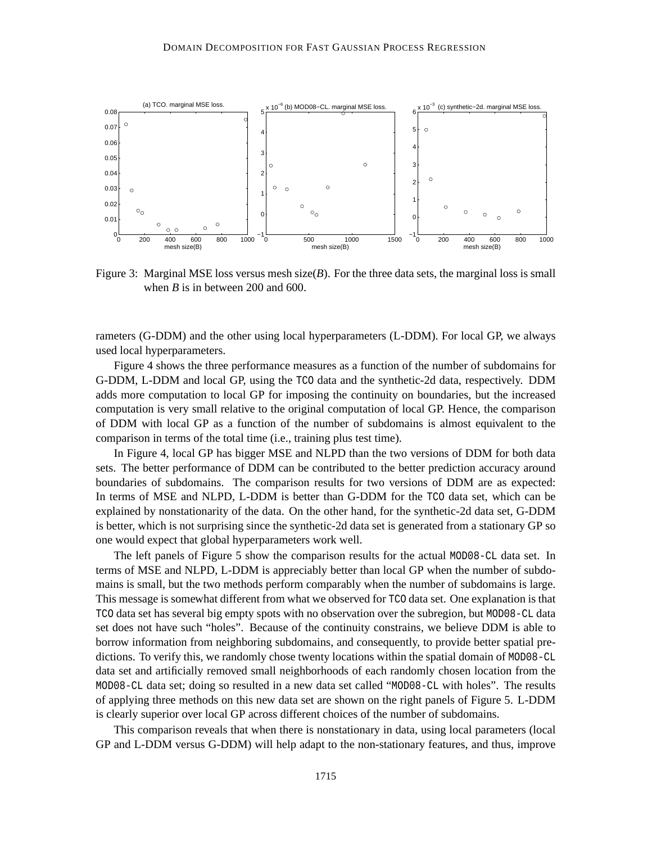

Figure 3: Marginal MSE loss versus mesh size(*B*). For the three data sets, the marginal loss is small when *B* is in between 200 and 600.

rameters (G-DDM) and the other using local hyperparameters (L-DDM). For local GP, we always used local hyperparameters.

Figure 4 shows the three performance measures as a function of the number of subdomains for G-DDM, L-DDM and local GP, using the TCO data and the synthetic-2d data, respectively. DDM adds more computation to local GP for imposing the continuity on boundaries, but the increased computation is very small relative to the original computation of local GP. Hence, the comparison of DDM with local GP as a function of the number of subdomains is almost equivalent to the comparison in terms of the total time (i.e., training plus test time).

In Figure 4, local GP has bigger MSE and NLPD than the two versions of DDM for both data sets. The better performance of DDM can be contributed to the better prediction accuracy around boundaries of subdomains. The comparison results for two versions of DDM are as expected: In terms of MSE and NLPD, L-DDM is better than G-DDM for the TCO data set, which can be explained by nonstationarity of the data. On the other hand, for the synthetic-2d data set, G-DDM is better, which is not surprising since the synthetic-2d data set is generated from a stationary GP so one would expect that global hyperparameters work well.

The left panels of Figure 5 show the comparison results for the actual MOD08-CL data set. In terms of MSE and NLPD, L-DDM is appreciably better than local GP when the number of subdomains is small, but the two methods perform comparably when the number of subdomains is large. This message is somewhat different from what we observed for TCO data set. One explanation is that TCO data set has several big empty spots with no observation over the subregion, but MOD08-CL data set does not have such "holes". Because of the continuity constrains, we believe DDM is able to borrow information from neighboring subdomains, and consequently, to provide better spatial predictions. To verify this, we randomly chose twenty locations within the spatial domain of MOD08-CL data set and artificially removed small neighborhoods of each randomly chosen location from the MOD08-CL data set; doing so resulted in a new data set called "MOD08-CL with holes". The results of applying three methods on this new data set are shown on the right panels of Figure 5. L-DDM is clearly superior over local GP across different choices of the number of subdomains.

This comparison reveals that when there is nonstationary in data, using local parameters (local GP and L-DDM versus G-DDM) will help adapt to the non-stationary features, and thus, improve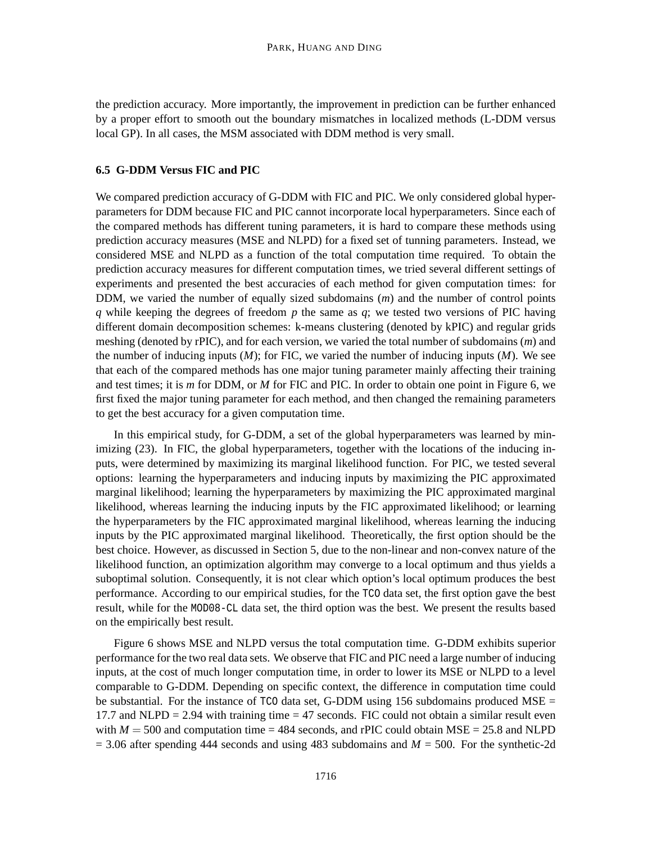the prediction accuracy. More importantly, the improvement in prediction can be further enhanced by a proper effort to smooth out the boundary mismatches in localized methods (L-DDM versus local GP). In all cases, the MSM associated with DDM method is very small.

## **6.5 G-DDM Versus FIC and PIC**

We compared prediction accuracy of G-DDM with FIC and PIC. We only considered global hyperparameters for DDM because FIC and PIC cannot incorporate local hyperparameters. Since each of the compared methods has different tuning parameters, it is hard to compare these methods using prediction accuracy measures (MSE and NLPD) for a fixed set of tunning parameters. Instead, we considered MSE and NLPD as a function of the total computation time required. To obtain the prediction accuracy measures for different computation times, we tried several different settings of experiments and presented the best accuracies of each method for given computation times: for DDM, we varied the number of equally sized subdomains (*m*) and the number of control points *q* while keeping the degrees of freedom *p* the same as *q*; we tested two versions of PIC having different domain decomposition schemes: k-means clustering (denoted by kPIC) and regular grids meshing (denoted by rPIC), and for each version, we varied the total number of subdomains (*m*) and the number of inducing inputs (*M*); for FIC, we varied the number of inducing inputs (*M*). We see that each of the compared methods has one major tuning parameter mainly affecting their training and test times; it is *m* for DDM, or *M* for FIC and PIC. In order to obtain one point in Figure 6, we first fixed the major tuning parameter for each method, and then changed the remaining parameters to get the best accuracy for a given computation time.

In this empirical study, for G-DDM, a set of the global hyperparameters was learned by minimizing (23). In FIC, the global hyperparameters, together with the locations of the inducing inputs, were determined by maximizing its marginal likelihood function. For PIC, we tested several options: learning the hyperparameters and inducing inputs by maximizing the PIC approximated marginal likelihood; learning the hyperparameters by maximizing the PIC approximated marginal likelihood, whereas learning the inducing inputs by the FIC approximated likelihood; or learning the hyperparameters by the FIC approximated marginal likelihood, whereas learning the inducing inputs by the PIC approximated marginal likelihood. Theoretically, the first option should be the best choice. However, as discussed in Section 5, due to the non-linear and non-convex nature of the likelihood function, an optimization algorithm may converge to a local optimum and thus yields a suboptimal solution. Consequently, it is not clear which option's local optimum produces the best performance. According to our empirical studies, for the TCO data set, the first option gave the best result, while for the MOD08-CL data set, the third option was the best. We present the results based on the empirically best result.

Figure 6 shows MSE and NLPD versus the total computation time. G-DDM exhibits superior performance for the two real data sets. We observe that FIC and PIC need a large number of inducing inputs, at the cost of much longer computation time, in order to lower its MSE or NLPD to a level comparable to G-DDM. Depending on specific context, the difference in computation time could be substantial. For the instance of  $TCO$  data set, G-DDM using 156 subdomains produced MSE = 17.7 and NLPD  $= 2.94$  with training time  $= 47$  seconds. FIC could not obtain a similar result even with  $M = 500$  and computation time  $= 484$  seconds, and rPIC could obtain MSE  $= 25.8$  and NLPD  $= 3.06$  after spending 444 seconds and using 483 subdomains and  $M = 500$ . For the synthetic-2d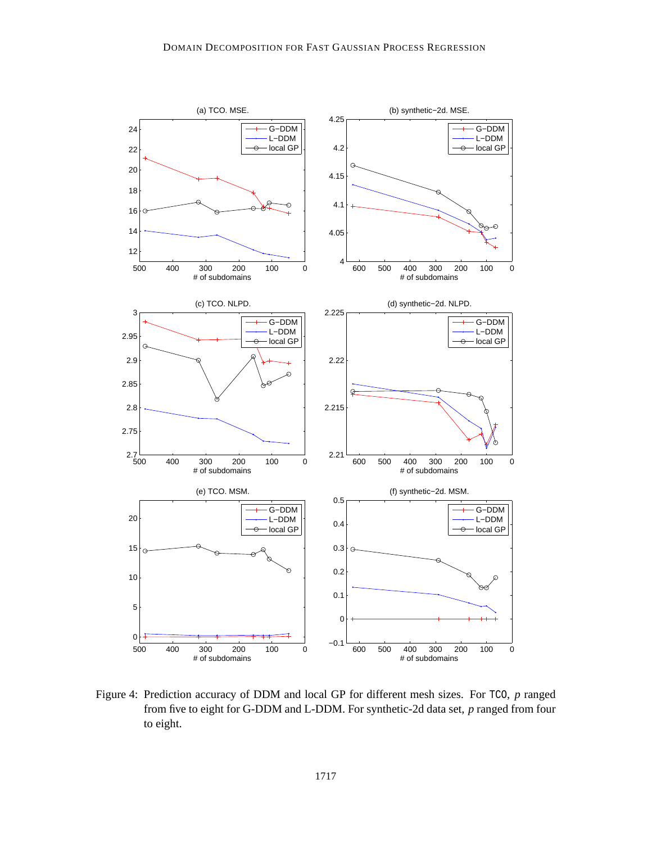

Figure 4: Prediction accuracy of DDM and local GP for different mesh sizes. For TCO, *p* ranged from five to eight for G-DDM and L-DDM. For synthetic-2d data set, *p* ranged from four to eight.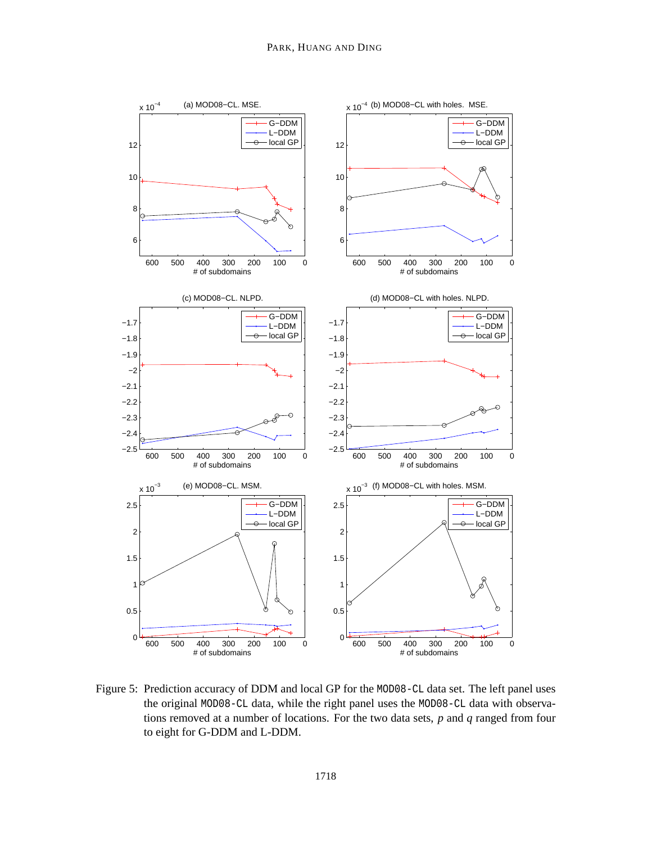

Figure 5: Prediction accuracy of DDM and local GP for the MOD08-CL data set. The left panel uses the original MOD08-CL data, while the right panel uses the MOD08-CL data with observations removed at a number of locations. For the two data sets, *p* and *q* ranged from four to eight for G-DDM and L-DDM.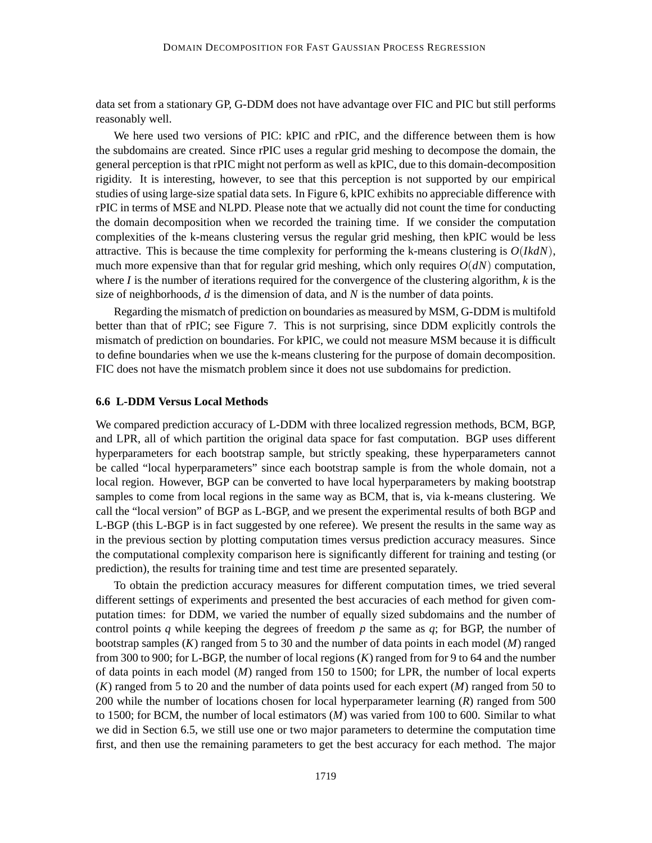data set from a stationary GP, G-DDM does not have advantage over FIC and PIC but still performs reasonably well.

We here used two versions of PIC: kPIC and rPIC, and the difference between them is how the subdomains are created. Since rPIC uses a regular grid meshing to decompose the domain, the general perception is that rPIC might not perform as well as kPIC, due to this domain-decomposition rigidity. It is interesting, however, to see that this perception is not supported by our empirical studies of using large-size spatial data sets. In Figure 6, kPIC exhibits no appreciable difference with rPIC in terms of MSE and NLPD. Please note that we actually did not count the time for conducting the domain decomposition when we recorded the training time. If we consider the computation complexities of the k-means clustering versus the regular grid meshing, then kPIC would be less attractive. This is because the time complexity for performing the k-means clustering is *O*(*IkdN*), much more expensive than that for regular grid meshing, which only requires  $O(dN)$  computation, where *I* is the number of iterations required for the convergence of the clustering algorithm, *k* is the size of neighborhoods, *d* is the dimension of data, and *N* is the number of data points.

Regarding the mismatch of prediction on boundaries as measured by MSM, G-DDM is multifold better than that of rPIC; see Figure 7. This is not surprising, since DDM explicitly controls the mismatch of prediction on boundaries. For kPIC, we could not measure MSM because it is difficult to define boundaries when we use the k-means clustering for the purpose of domain decomposition. FIC does not have the mismatch problem since it does not use subdomains for prediction.

#### **6.6 L-DDM Versus Local Methods**

We compared prediction accuracy of L-DDM with three localized regression methods, BCM, BGP, and LPR, all of which partition the original data space for fast computation. BGP uses different hyperparameters for each bootstrap sample, but strictly speaking, these hyperparameters cannot be called "local hyperparameters" since each bootstrap sample is from the whole domain, not a local region. However, BGP can be converted to have local hyperparameters by making bootstrap samples to come from local regions in the same way as BCM, that is, via k-means clustering. We call the "local version" of BGP as L-BGP, and we present the experimental results of both BGP and L-BGP (this L-BGP is in fact suggested by one referee). We present the results in the same way as in the previous section by plotting computation times versus prediction accuracy measures. Since the computational complexity comparison here is significantly different for training and testing (or prediction), the results for training time and test time are presented separately.

To obtain the prediction accuracy measures for different computation times, we tried several different settings of experiments and presented the best accuracies of each method for given computation times: for DDM, we varied the number of equally sized subdomains and the number of control points *q* while keeping the degrees of freedom *p* the same as *q*; for BGP, the number of bootstrap samples (*K*) ranged from 5 to 30 and the number of data points in each model (*M*) ranged from 300 to 900; for L-BGP, the number of local regions (*K*) ranged from for 9 to 64 and the number of data points in each model (*M*) ranged from 150 to 1500; for LPR, the number of local experts (*K*) ranged from 5 to 20 and the number of data points used for each expert (*M*) ranged from 50 to 200 while the number of locations chosen for local hyperparameter learning (*R*) ranged from 500 to 1500; for BCM, the number of local estimators (*M*) was varied from 100 to 600. Similar to what we did in Section 6.5, we still use one or two major parameters to determine the computation time first, and then use the remaining parameters to get the best accuracy for each method. The major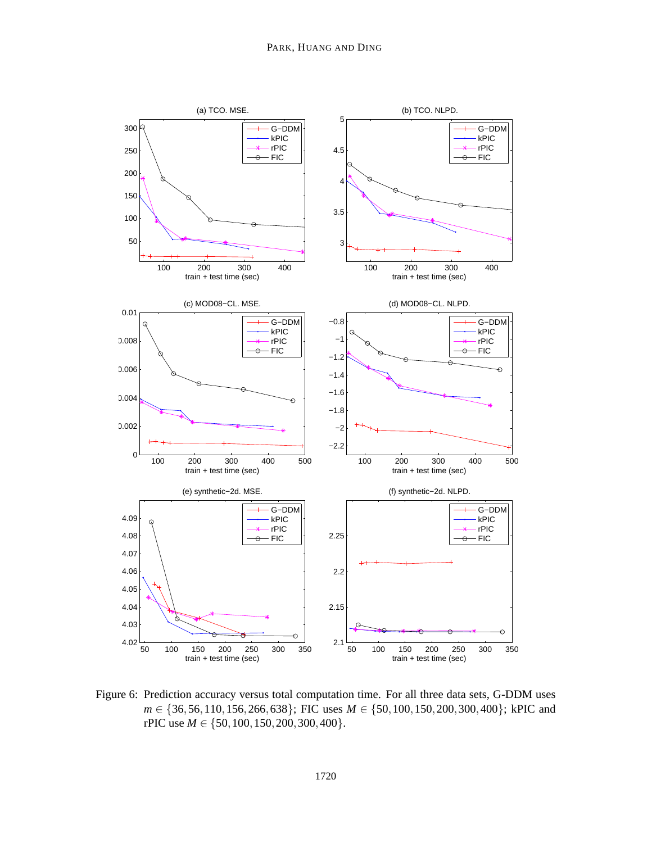

Figure 6: Prediction accuracy versus total computation time. For all three data sets, G-DDM uses *m* ∈ {36,56,110,156,266,638}; FIC uses *M* ∈ {50,100,150,200,300,400}; kPIC and rPIC use *M* ∈ {50,100,150,200,300,400}.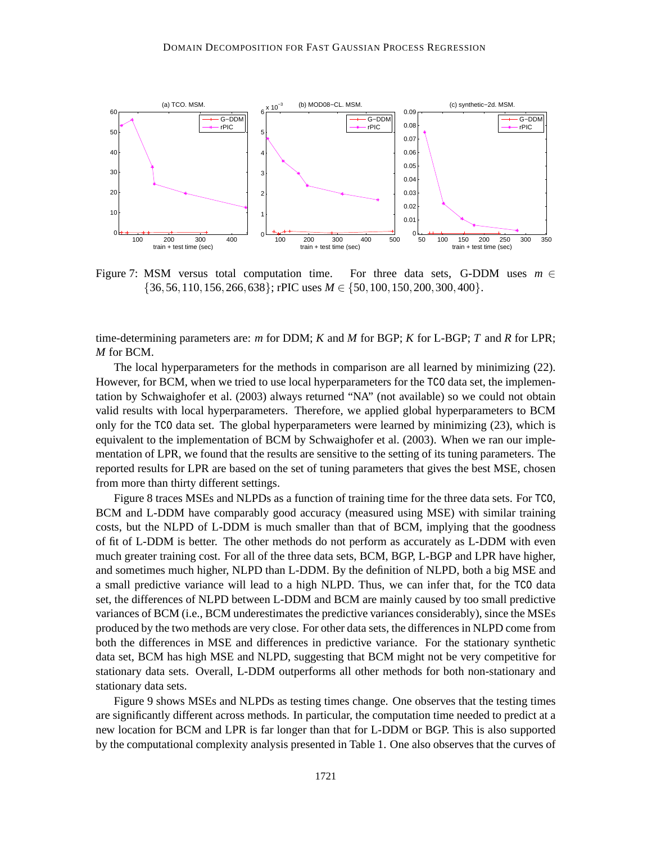

Figure 7: MSM versus total computation time. For three data sets, G-DDM uses *m* ∈ {36,56,110,156,266,638}; rPIC uses *M* ∈ {50,100,150,200,300,400}.

time-determining parameters are: *m* for DDM; *K* and *M* for BGP; *K* for L-BGP; *T* and *R* for LPR; *M* for BCM.

The local hyperparameters for the methods in comparison are all learned by minimizing (22). However, for BCM, when we tried to use local hyperparameters for the TCO data set, the implementation by Schwaighofer et al. (2003) always returned "NA" (not available) so we could not obtain valid results with local hyperparameters. Therefore, we applied global hyperparameters to BCM only for the TCO data set. The global hyperparameters were learned by minimizing (23), which is equivalent to the implementation of BCM by Schwaighofer et al. (2003). When we ran our implementation of LPR, we found that the results are sensitive to the setting of its tuning parameters. The reported results for LPR are based on the set of tuning parameters that gives the best MSE, chosen from more than thirty different settings.

Figure 8 traces MSEs and NLPDs as a function of training time for the three data sets. For TCO, BCM and L-DDM have comparably good accuracy (measured using MSE) with similar training costs, but the NLPD of L-DDM is much smaller than that of BCM, implying that the goodness of fit of L-DDM is better. The other methods do not perform as accurately as L-DDM with even much greater training cost. For all of the three data sets, BCM, BGP, L-BGP and LPR have higher, and sometimes much higher, NLPD than L-DDM. By the definition of NLPD, both a big MSE and a small predictive variance will lead to a high NLPD. Thus, we can infer that, for the TCO data set, the differences of NLPD between L-DDM and BCM are mainly caused by too small predictive variances of BCM (i.e., BCM underestimates the predictive variances considerably), since the MSEs produced by the two methods are very close. For other data sets, the differences in NLPD come from both the differences in MSE and differences in predictive variance. For the stationary synthetic data set, BCM has high MSE and NLPD, suggesting that BCM might not be very competitive for stationary data sets. Overall, L-DDM outperforms all other methods for both non-stationary and stationary data sets.

Figure 9 shows MSEs and NLPDs as testing times change. One observes that the testing times are significantly different across methods. In particular, the computation time needed to predict at a new location for BCM and LPR is far longer than that for L-DDM or BGP. This is also supported by the computational complexity analysis presented in Table 1. One also observes that the curves of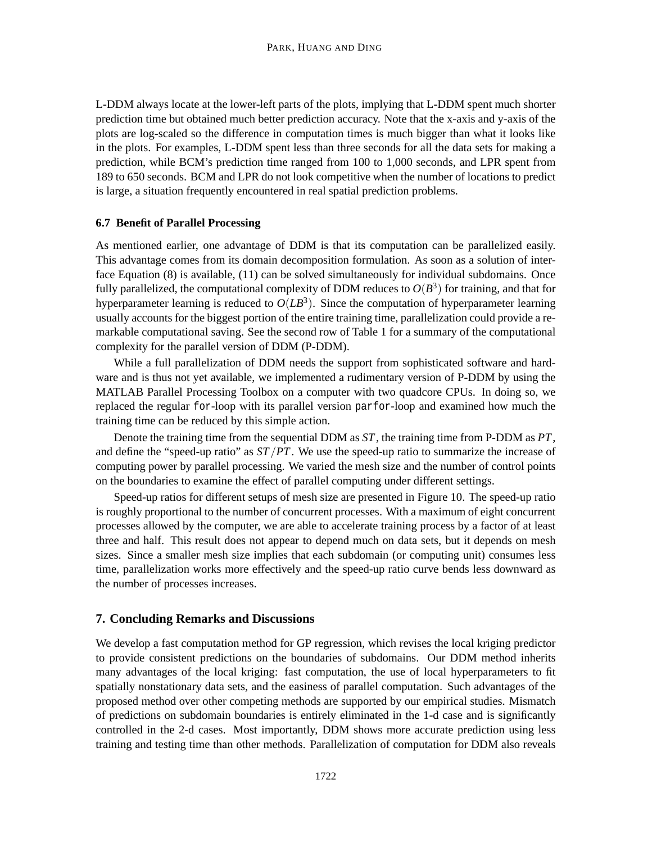L-DDM always locate at the lower-left parts of the plots, implying that L-DDM spent much shorter prediction time but obtained much better prediction accuracy. Note that the x-axis and y-axis of the plots are log-scaled so the difference in computation times is much bigger than what it looks like in the plots. For examples, L-DDM spent less than three seconds for all the data sets for making a prediction, while BCM's prediction time ranged from 100 to 1,000 seconds, and LPR spent from 189 to 650 seconds. BCM and LPR do not look competitive when the number of locations to predict is large, a situation frequently encountered in real spatial prediction problems.

### **6.7 Benefit of Parallel Processing**

As mentioned earlier, one advantage of DDM is that its computation can be parallelized easily. This advantage comes from its domain decomposition formulation. As soon as a solution of interface Equation (8) is available, (11) can be solved simultaneously for individual subdomains. Once fully parallelized, the computational complexity of DDM reduces to  $O(B^3)$  for training, and that for hyperparameter learning is reduced to  $O(LB^3)$ . Since the computation of hyperparameter learning usually accounts for the biggest portion of the entire training time, parallelization could provide a remarkable computational saving. See the second row of Table 1 for a summary of the computational complexity for the parallel version of DDM (P-DDM).

While a full parallelization of DDM needs the support from sophisticated software and hardware and is thus not yet available, we implemented a rudimentary version of P-DDM by using the MATLAB Parallel Processing Toolbox on a computer with two quadcore CPUs. In doing so, we replaced the regular for-loop with its parallel version parfor-loop and examined how much the training time can be reduced by this simple action.

Denote the training time from the sequential DDM as *ST*, the training time from P-DDM as *PT*, and define the "speed-up ratio" as *ST*/*PT*. We use the speed-up ratio to summarize the increase of computing power by parallel processing. We varied the mesh size and the number of control points on the boundaries to examine the effect of parallel computing under different settings.

Speed-up ratios for different setups of mesh size are presented in Figure 10. The speed-up ratio is roughly proportional to the number of concurrent processes. With a maximum of eight concurrent processes allowed by the computer, we are able to accelerate training process by a factor of at least three and half. This result does not appear to depend much on data sets, but it depends on mesh sizes. Since a smaller mesh size implies that each subdomain (or computing unit) consumes less time, parallelization works more effectively and the speed-up ratio curve bends less downward as the number of processes increases.

### **7. Concluding Remarks and Discussions**

We develop a fast computation method for GP regression, which revises the local kriging predictor to provide consistent predictions on the boundaries of subdomains. Our DDM method inherits many advantages of the local kriging: fast computation, the use of local hyperparameters to fit spatially nonstationary data sets, and the easiness of parallel computation. Such advantages of the proposed method over other competing methods are supported by our empirical studies. Mismatch of predictions on subdomain boundaries is entirely eliminated in the 1-d case and is significantly controlled in the 2-d cases. Most importantly, DDM shows more accurate prediction using less training and testing time than other methods. Parallelization of computation for DDM also reveals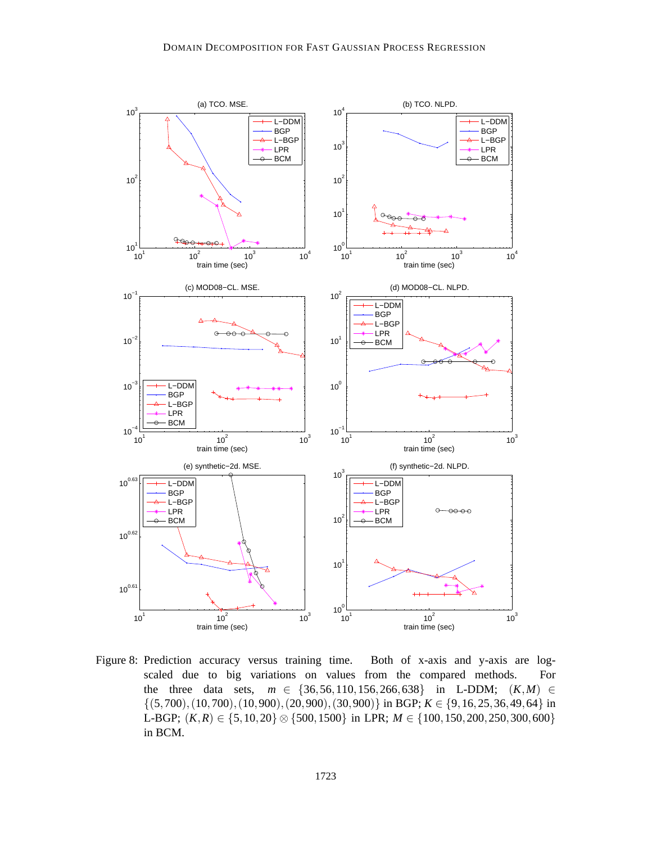

Figure 8: Prediction accuracy versus training time. Both of x-axis and y-axis are logscaled due to big variations on values from the compared methods. For the three data sets,  $m \in \{36, 56, 110, 156, 266, 638\}$  in L-DDM;  $(K, M) \in$  $\{(5,700), (10,700), (10,900), (20,900), (30,900)\}\$ in BGP;  $K \in \{9, 16, 25, 36, 49, 64\}$  in L-BGP; (*K*,*R*) ∈ {5,10,20} ⊗ {500,1500} in LPR; *M* ∈ {100,150,200,250,300,600} in BCM.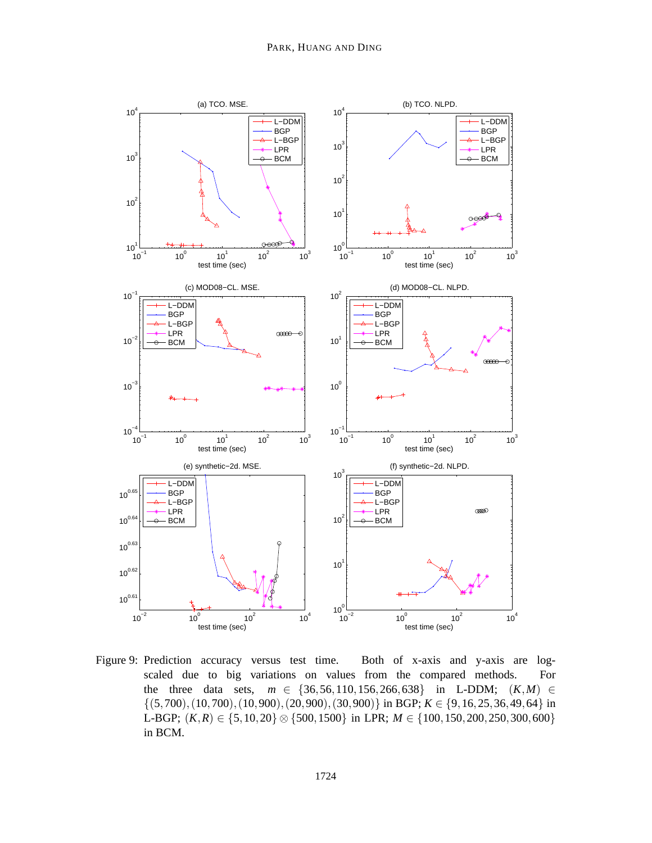

Figure 9: Prediction accuracy versus test time. Both of x-axis and y-axis are logscaled due to big variations on values from the compared methods. For the three data sets,  $m \in \{36, 56, 110, 156, 266, 638\}$  in L-DDM;  $(K, M) \in$  $\{(5,700), (10,700), (10,900), (20,900), (30,900)\}\$ in BGP;  $K \in \{9, 16, 25, 36, 49, 64\}$  in L-BGP; (*K*,*R*) ∈ {5,10,20} ⊗ {500,1500} in LPR; *M* ∈ {100,150,200,250,300,600} in BCM.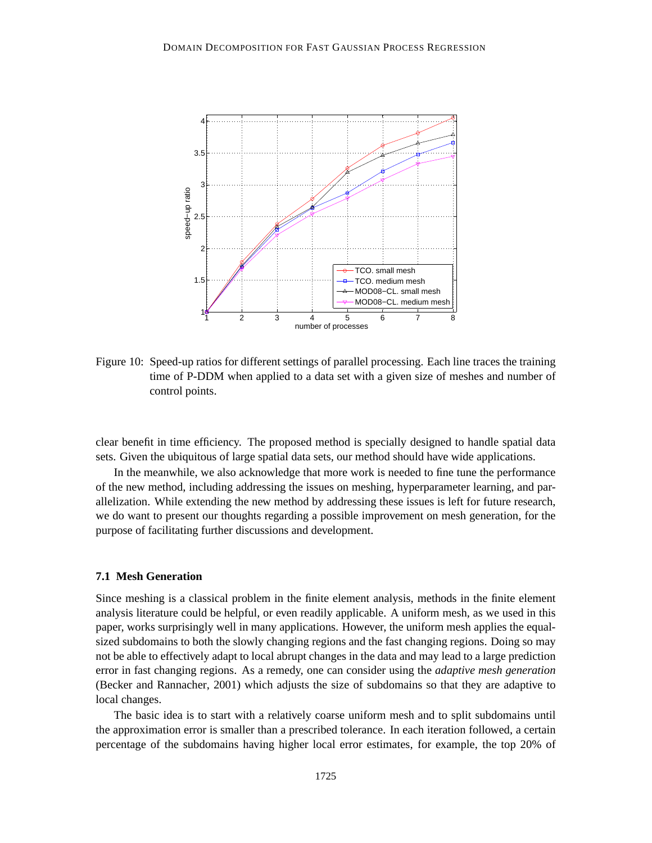

Figure 10: Speed-up ratios for different settings of parallel processing. Each line traces the training time of P-DDM when applied to a data set with a given size of meshes and number of control points.

clear benefit in time efficiency. The proposed method is specially designed to handle spatial data sets. Given the ubiquitous of large spatial data sets, our method should have wide applications.

In the meanwhile, we also acknowledge that more work is needed to fine tune the performance of the new method, including addressing the issues on meshing, hyperparameter learning, and parallelization. While extending the new method by addressing these issues is left for future research, we do want to present our thoughts regarding a possible improvement on mesh generation, for the purpose of facilitating further discussions and development.

### **7.1 Mesh Generation**

Since meshing is a classical problem in the finite element analysis, methods in the finite element analysis literature could be helpful, or even readily applicable. A uniform mesh, as we used in this paper, works surprisingly well in many applications. However, the uniform mesh applies the equalsized subdomains to both the slowly changing regions and the fast changing regions. Doing so may not be able to effectively adapt to local abrupt changes in the data and may lead to a large prediction error in fast changing regions. As a remedy, one can consider using the *adaptive mesh generation* (Becker and Rannacher, 2001) which adjusts the size of subdomains so that they are adaptive to local changes.

The basic idea is to start with a relatively coarse uniform mesh and to split subdomains until the approximation error is smaller than a prescribed tolerance. In each iteration followed, a certain percentage of the subdomains having higher local error estimates, for example, the top 20% of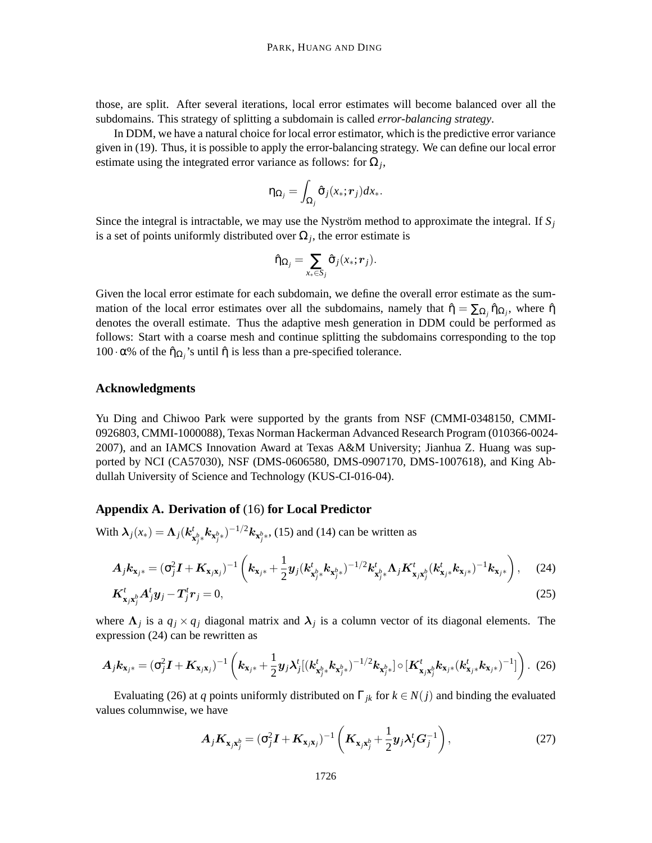those, are split. After several iterations, local error estimates will become balanced over all the subdomains. This strategy of splitting a subdomain is called *error-balancing strategy*.

In DDM, we have a natural choice for local error estimator, which is the predictive error variance given in (19). Thus, it is possible to apply the error-balancing strategy. We can define our local error estimate using the integrated error variance as follows: for  $\Omega_j$ ,

$$
\eta_{\Omega_j} = \int_{\Omega_j} \hat{\sigma}_j(x_*; \boldsymbol{r}_j) dx_*.
$$

Since the integral is intractable, we may use the Nyström method to approximate the integral. If  $S_i$ is a set of points uniformly distributed over  $\Omega_j$ , the error estimate is

$$
\hat{\eta}_{\Omega_j} = \sum_{x_* \in S_j} \hat{\sigma}_j(x_*; \mathbf{r}_j).
$$

Given the local error estimate for each subdomain, we define the overall error estimate as the summation of the local error estimates over all the subdomains, namely that  $\hat{\eta} = \sum_{\Omega_j} \hat{\eta}_{\Omega_j}$ , where  $\hat{\eta}$ denotes the overall estimate. Thus the adaptive mesh generation in DDM could be performed as follows: Start with a coarse mesh and continue splitting the subdomains corresponding to the top 100 · α% of the  $\hat{\eta}_{\Omega_j}$ 's until  $\hat{\eta}$  is less than a pre-specified tolerance.

### **Acknowledgments**

Yu Ding and Chiwoo Park were supported by the grants from NSF (CMMI-0348150, CMMI-0926803, CMMI-1000088), Texas Norman Hackerman Advanced Research Program (010366-0024- 2007), and an IAMCS Innovation Award at Texas A&M University; Jianhua Z. Huang was supported by NCI (CA57030), NSF (DMS-0606580, DMS-0907170, DMS-1007618), and King Abdullah University of Science and Technology (KUS-CI-016-04).

## **Appendix A. Derivation of** (16) **for Local Predictor**

With  $\lambda_j(x_*) = \Lambda_j(k^t)$  $\int_{\mathbf{x}_j^{b} *} \mathbf{k}_{\mathbf{x}_j^{b}} \sqrt{1 - \sum_{j=1}^{j-1} \mathbf{k}_{\mathbf{x}_j^{b}}(15)}$  and (14) can be written as

$$
A_j k_{\mathbf{x}_{j^*}} = (\sigma_j^2 \mathbf{I} + \mathbf{K}_{\mathbf{x}_{j\mathbf{x}_{j}}})^{-1} \left( k_{\mathbf{x}_{j^*}} + \frac{1}{2} y_j (k_{\mathbf{x}_{j^*}^b}^t k_{\mathbf{x}_{j^*}^b})^{-1/2} k_{\mathbf{x}_{j^*}^b}^t \Lambda_j \mathbf{K}_{\mathbf{x}_{j^*}}^t k_{\mathbf{x}_{j^*}}^t k_{\mathbf{x}_{j^*}}^t)^{-1} k_{\mathbf{x}_{j^*}} \right), \quad (24)
$$

$$
\boldsymbol{K}_{\mathbf{x}_j\mathbf{x}_j}^t \boldsymbol{A}_j^t \boldsymbol{y}_j - \boldsymbol{T}_j^t \boldsymbol{r}_j = 0, \tag{25}
$$

where  $\Lambda_j$  is a  $q_j \times q_j$  diagonal matrix and  $\lambda_j$  is a column vector of its diagonal elements. The expression (24) can be rewritten as

$$
A_j k_{\mathbf{x}_{j^*}} = (\sigma_j^2 I + K_{\mathbf{x}_{j^*}})^{-1} \left( k_{\mathbf{x}_{j^*}} + \frac{1}{2} y_j \lambda_j^t \left[ (k_{\mathbf{x}_{j^*}^b}^t k_{\mathbf{x}_{j^*}^b})^{-1/2} k_{\mathbf{x}_{j^*}^b} \right] \circ \left[ K_{\mathbf{x}_{j^*}}^t k_{\mathbf{x}_{j^*}} (k_{\mathbf{x}_{j^*}}^t k_{\mathbf{x}_{j^*}})^{-1} \right] \right). (26)
$$

Evaluating (26) at *q* points uniformly distributed on  $\Gamma_{jk}$  for  $k \in N(j)$  and binding the evaluated values columnwise, we have

$$
\boldsymbol{A}_j \boldsymbol{K}_{\mathbf{x}_j \mathbf{x}_j^b} = (\sigma_j^2 \boldsymbol{I} + \boldsymbol{K}_{\mathbf{x}_j \mathbf{x}_j})^{-1} \left( \boldsymbol{K}_{\mathbf{x}_j \mathbf{x}_j^b} + \frac{1}{2} \boldsymbol{y}_j \boldsymbol{\lambda}_j^t \boldsymbol{G}_j^{-1} \right),
$$
\n(27)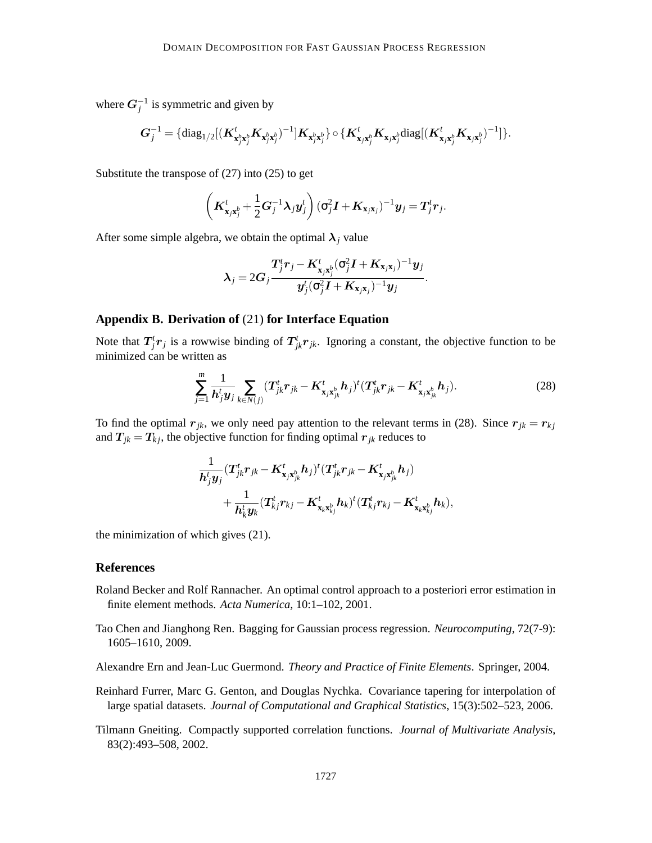where  $G_j^{-1}$  is symmetric and given by

$$
\textbf{\textit{G}}_{j}^{-1} = \{\text{diag}_{1/2}[(\textbf{\textit{K}}_{\textbf{x}_{j}^{b}\textbf{x}_{j}^{b}}^{t}\textbf{\textit{K}}_{\textbf{x}_{j}^{b}\textbf{x}_{j}^{b}})^{-1}]\textbf{\textit{K}}_{\textbf{x}_{j}^{b}\textbf{x}_{j}^{b}}\} \circ \{\textbf{\textit{K}}_{\textbf{x}_{j} \textbf{x}_{j}^{b}}^{t}\textbf{\textit{K}}_{\textbf{x}_{j} \textbf{x}_{j}^{b}}\text{diag}[(\textbf{\textit{K}}_{\textbf{x}_{j} \textbf{x}_{j}^{b}}^{t}\textbf{\textit{K}}_{\textbf{x}_{j} \textbf{x}_{j}^{b}})^{-1}]\}.
$$

Substitute the transpose of (27) into (25) to get

$$
\left(\boldsymbol{K}_{\mathbf{x}_j\mathbf{x}_j^b}^t + \frac{1}{2}\boldsymbol{G}_j^{-1}\boldsymbol{\lambda}_j\boldsymbol{y}_j^t\right)(\sigma_j^2\boldsymbol{I} + \boldsymbol{K}_{\mathbf{x}_j\mathbf{x}_j})^{-1}\boldsymbol{y}_j = \boldsymbol{T}_j^t\boldsymbol{r}_j.
$$

After some simple algebra, we obtain the optimal  $\lambda_j$  value

$$
\boldsymbol{\lambda}_j = 2\boldsymbol{G}_j \frac{\boldsymbol{T}_j^t \boldsymbol{r}_j - \boldsymbol{K}_{\mathbf{x}_j \mathbf{x}_j^b}^t (\sigma_j^2 \boldsymbol{I} + \boldsymbol{K}_{\mathbf{x}_j \mathbf{x}_j})^{-1} \boldsymbol{y}_j}{\boldsymbol{y}_j^t (\sigma_j^2 \boldsymbol{I} + \boldsymbol{K}_{\mathbf{x}_j \mathbf{x}_j})^{-1} \boldsymbol{y}_j}.
$$

#### **Appendix B. Derivation of** (21) **for Interface Equation**

Note that  $T^t_j r_j$  is a rowwise binding of  $T^t_{jk}r_{jk}$ . Ignoring a constant, the objective function to be minimized can be written as

$$
\sum_{j=1}^{m} \frac{1}{h_j^t y_j} \sum_{k \in N(j)} (T_{jk}^t r_{jk} - K_{\mathbf{x}_j \mathbf{x}_{jk}^b}^t h_j)^t (T_{jk}^t r_{jk} - K_{\mathbf{x}_j \mathbf{x}_{jk}^b}^t h_j).
$$
 (28)

To find the optimal  $r_{jk}$ , we only need pay attention to the relevant terms in (28). Since  $r_{jk} = r_{kj}$ and  $T_{jk} = T_{kj}$ , the objective function for finding optimal  $r_{jk}$  reduces to

$$
\begin{aligned}\frac{1}{\boldsymbol{h}_j^t\boldsymbol{y}_j} (\boldsymbol{T}^t_{jk}\boldsymbol{r}_{jk} - \boldsymbol{K}^t_{\boldsymbol{\mathrm{x}}_j\boldsymbol{\mathrm{x}}^b_{jk}} \boldsymbol{h}_j)^t (\boldsymbol{T}^t_{jk}\boldsymbol{r}_{jk} - \boldsymbol{K}^t_{\boldsymbol{\mathrm{x}}_j\boldsymbol{\mathrm{x}}^b_{jk}} \boldsymbol{h}_j) \\ &+ \frac{1}{\boldsymbol{h}_k^t\boldsymbol{y}_k} (\boldsymbol{T}^t_{kj}\boldsymbol{r}_{kj} - \boldsymbol{K}^t_{\boldsymbol{\mathrm{x}}_k\boldsymbol{\mathrm{x}}^b_{kj}} \boldsymbol{h}_k)^t (\boldsymbol{T}^t_{kj}\boldsymbol{r}_{kj} - \boldsymbol{K}^t_{\boldsymbol{\mathrm{x}}_k\boldsymbol{\mathrm{x}}^b_{kj}} \boldsymbol{h}_k), \end{aligned}
$$

the minimization of which gives (21).

#### **References**

- Roland Becker and Rolf Rannacher. An optimal control approach to a posteriori error estimation in finite element methods. *Acta Numerica*, 10:1–102, 2001.
- Tao Chen and Jianghong Ren. Bagging for Gaussian process regression. *Neurocomputing*, 72(7-9): 1605–1610, 2009.
- Alexandre Ern and Jean-Luc Guermond. *Theory and Practice of Finite Elements*. Springer, 2004.
- Reinhard Furrer, Marc G. Genton, and Douglas Nychka. Covariance tapering for interpolation of large spatial datasets. *Journal of Computational and Graphical Statistics*, 15(3):502–523, 2006.
- Tilmann Gneiting. Compactly supported correlation functions. *Journal of Multivariate Analysis*, 83(2):493–508, 2002.